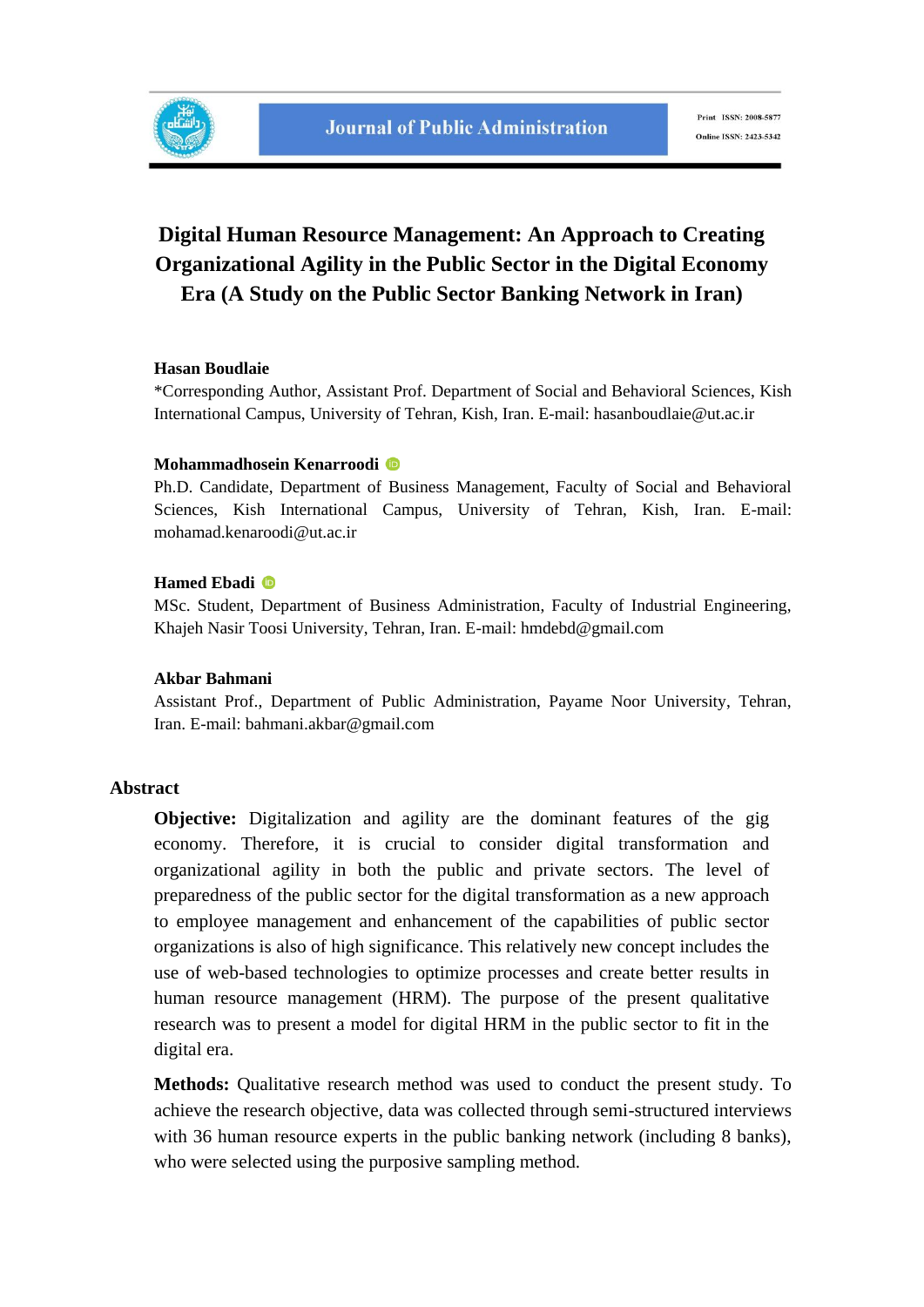## **Digital Human Resource Management: An Approach to Creating Organizational Agility in the Public Sector in the Digital Economy Era (A Study on the Public Sector Banking Network in Iran)**

### **Hasan Boudlaie**

\*Corresponding Author, Assistant Prof. Department of Social and Behavioral Sciences, Kish International Campus, University of Tehran, Kish, Iran. E-mail: hasanboudlaie@ut.ac.ir

#### **Mohammadhosein Kenarroodi**

Ph.D. Candidate, Department of Business Management, Faculty of Social and Behavioral Sciences, Kish International Campus, University of Tehran, Kish, Iran. E-mail: mohamad.kenaroodi@ut.ac.ir

#### **Hamed Ebadi**

MSc. Student, Department of Business Administration, Faculty of Industrial Engineering, Khajeh Nasir Toosi University, Tehran, Iran. E-mail: hmdebd@gmail.com

#### **Akbar Bahmani**

Assistant Prof., Department of Public Administration, Payame Noor University, Tehran, Iran. E-mail: bahmani.akbar@gmail.com

### **Abstract**

**Objective:** Digitalization and agility are the dominant features of the gig economy. Therefore, it is crucial to consider digital transformation and organizational agility in both the public and private sectors. The level of preparedness of the public sector for the digital transformation as a new approach to employee management and enhancement of the capabilities of public sector organizations is also of high significance. This relatively new concept includes the use of web-based technologies to optimize processes and create better results in human resource management (HRM). The purpose of the present qualitative research was to present a model for digital HRM in the public sector to fit in the digital era.

**Methods:** Qualitative research method was used to conduct the present study. To achieve the research objective, data was collected through semi-structured interviews with 36 human resource experts in the public banking network (including 8 banks), who were selected using the purposive sampling method.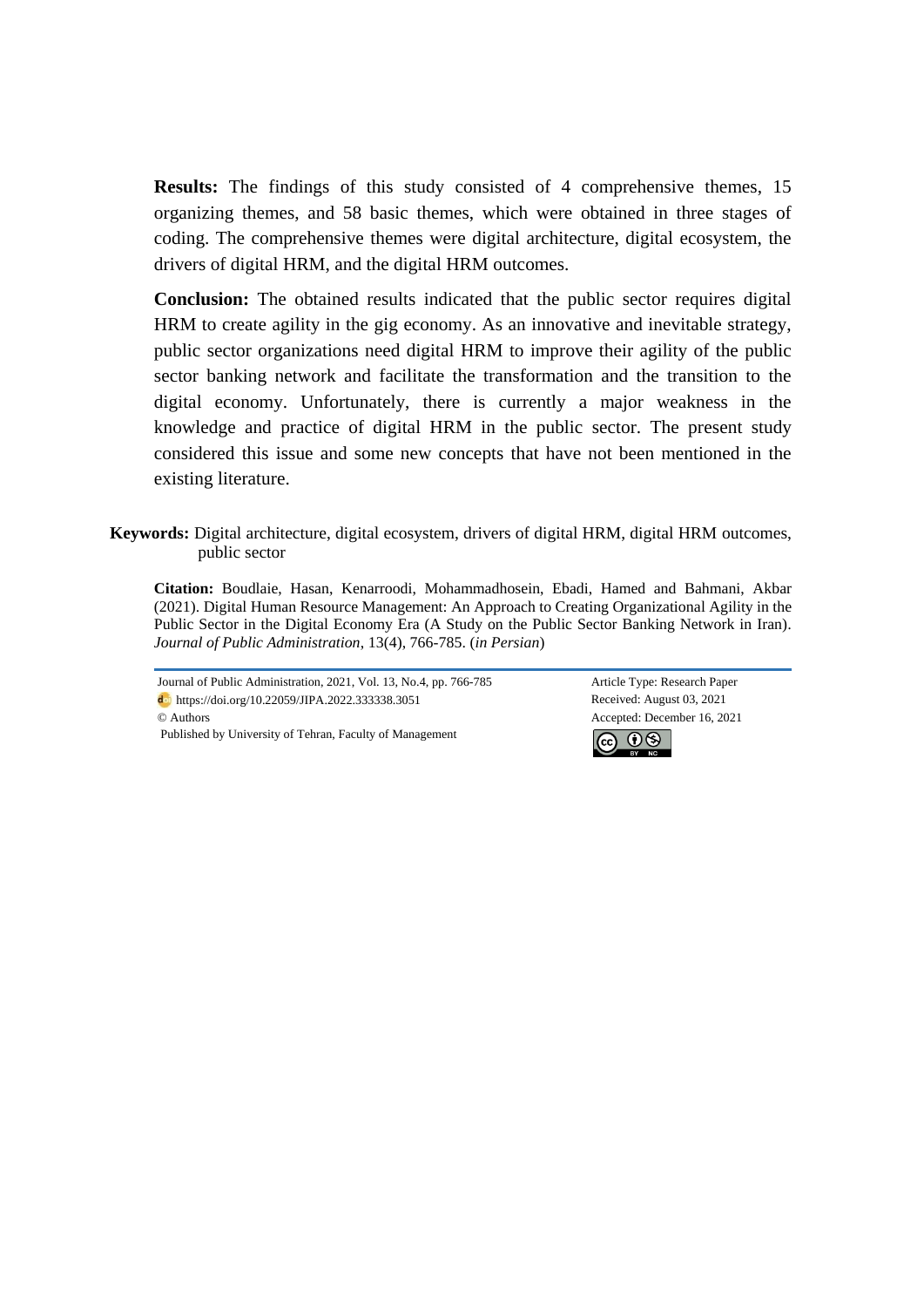**Results:** The findings of this study consisted of 4 comprehensive themes, 15 organizing themes, and 58 basic themes, which were obtained in three stages of coding. The comprehensive themes were digital architecture, digital ecosystem, the drivers of digital HRM, and the digital HRM outcomes.

**Conclusion:** The obtained results indicated that the public sector requires digital HRM to create agility in the gig economy. As an innovative and inevitable strategy, public sector organizations need digital HRM to improve their agility of the public sector banking network and facilitate the transformation and the transition to the digital economy. Unfortunately, there is currently a major weakness in the knowledge and practice of digital HRM in the public sector. The present study considered this issue and some new concepts that have not been mentioned in the existing literature.

**Keywords:** Digital architecture, digital ecosystem, drivers of digital HRM, digital HRM outcomes, public sector

**Citation:** Boudlaie, Hasan, Kenarroodi, Mohammadhosein, Ebadi, Hamed and Bahmani, Akbar (2021). Digital Human Resource Management: An Approach to Creating Organizational Agility in the Public Sector in the Digital Economy Era (A Study on the Public Sector Banking Network in Iran)*. Journal of Public Administration*, 13(4), 766-785. (*in Persian*)

Journal of Public Administration, 2021, Vol. 13, No.4, pp. 766-785 Article Type: Research Paper https://doi.org/10.22059/JIPA.2022.333338.3051 Received: August 03, 2021 © Authors Accepted: December 16, 2021 Published by University of Tehran, Faculty of Management

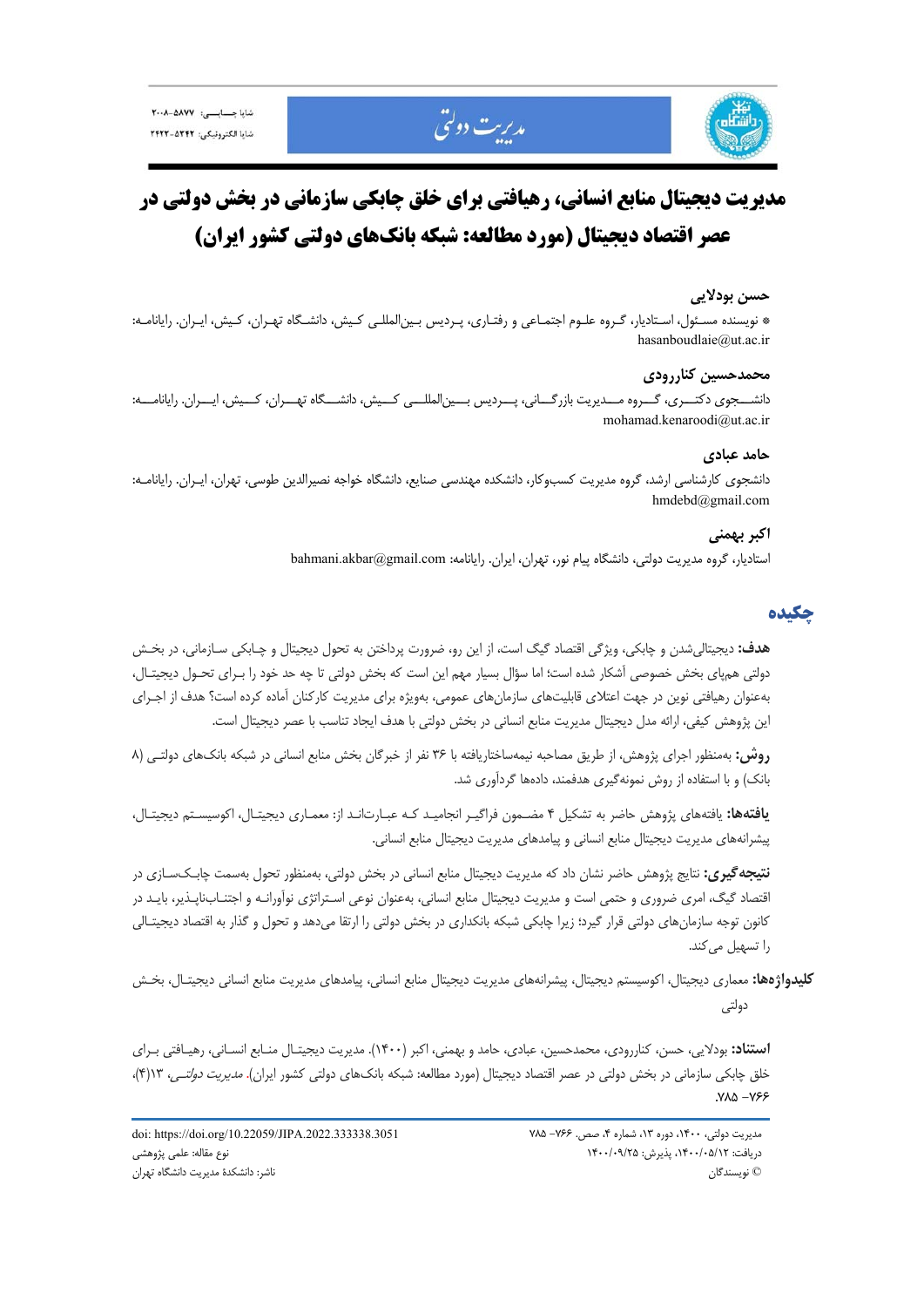





# **مديريت ديجيتال منابع انساني، رهيافتي براي خلق چابكي سازماني در بخش دولتي در عصر اقتصاد ديجيتال (مورد مطالعه: شبكه بانكهاي دولتي كشور ايران)**

### **حسن بودلايي**

\* نويسنده مسـئول، اسـتاديار، گـروه علـوم اجتمـاعي و رفتـاري، پـرديس بـينالمللـي كـيش، دانشـگاه تهـران، كـيش، ايـران. رايانامـه: hasanboudlaie@ut.ac.ir

### **محمدحسين كناررودي**

دانشـــجوي دكتـــري، گـــروه مـــديريت بازرگـــاني، پـــرديس بـــينالمللـــي كـــيش، دانشـــگاه تهـــران، كـــيش، ايـــران. رايانامـــه: mohamad.kenaroodi@ut.ac.ir

### **حامد عبادي**

دانشجوي كارشناسي ارشد، گروه مديريت كسبوكار، دانشكده مهندسي صنايع، دانشگاه خواجه نصيرالدين طوسي، تهران، ايـران. رايانامـه: hmdebd@gmail.com

### **اكبر بهمني**

استاديار، گروه مديريت دولتي، دانشگاه پيام نور، تهران، ايران. رايانامه: bahmani.akbar@gmail.com

### **چكيده**

**هدف:** ديجيتاليشدن و چابكي، ويژگي اقتصاد گيگ است، از اين رو، ضرورت پرداختن به تحول ديجيتال و چـابكي سـازماني، در بخـش دولتي همپاي بخش خصوصي آشكار شده است؛ اما سؤال بسيار مهم اين است كه بخش دولتي تا چه حد خود را بـراي تحـول ديجيتـال، بهعنوان رهيافتي نوين در جهت اعتلاي قابليتهاي سازمانهاي عمومي، بهويژه براي مديريت كاركنان آماده كرده است؟ هدف از اجـراي اين پژوهش كيفي، ارائه مدل ديجيتال مديريت منابع انساني در بخش دولتي با هدف ايجاد تناسب با عصر ديجيتال است.

**روش:** بهمنظور اجراي پژوهش، از طريق مصاحبه نيمهساختاريافته با 36 نفر از خبرگان بخش منابع انساني در شبكه بانكهاي دولتـي (8 بانك) و با استفاده از روش نمونهگيري هدفمند، دادهها گردآوري شد.

**يافتهها:** يافتههاي پژوهش حاضر به تشكيل 4 مضـمون فراگيـر انجاميـد كـه عبـارتانـد از: معمـاري ديجيتـال، اكوسيسـتم ديجيتـال، پيشرانههاي مديريت ديجيتال منابع انساني و پيامدهاي مديريت ديجيتال منابع انساني.

**نتيجهگيري:** نتايج پژوهش حاضر نشان داد كه مديريت ديجيتال منابع انساني در بخش دولتي، بهمنظور تحول بهسمت چابـكسـازي در اقتصاد گيگ، امري ضروري و حتمي است و مديريت ديجيتال منابع انساني، بهعنوان نوعي اسـتراتژي نوآورانـه و اجتنـابناپـذير، بايـد در كانون توجه سازمانهاي دولتي قرار گيرد؛ زيرا چابكي شبكه بانكداري در بخش دولتي را ارتقا ميدهد و تحول و گذار به اقتصاد ديجيتـالي را تسهيل مي كند.

**كليدواژهها:** معماري ديجيتال، اكوسيستم ديجيتال، پيشرانههاي مديريت ديجيتال منابع انساني، پيامدهاي مديريت منابع انساني ديجيتـال، بخـش دولتي

**استناد:** بودلايي، حسن، كناررودي، محمدحسين، عبادي، حامد و بهمني، اكبر (1400). مديريت ديجيتـال منـابع انسـاني، رهيـافتي بـراي خلق چابكي سازماني در بخش دولتي در عصر اقتصاد ديجيتال (مورد مطالعه: شبكه بانكهاي دولتي كشور ايران). مديريت دولتـي، 13(4)،  $Y\lambda\Delta -Y55$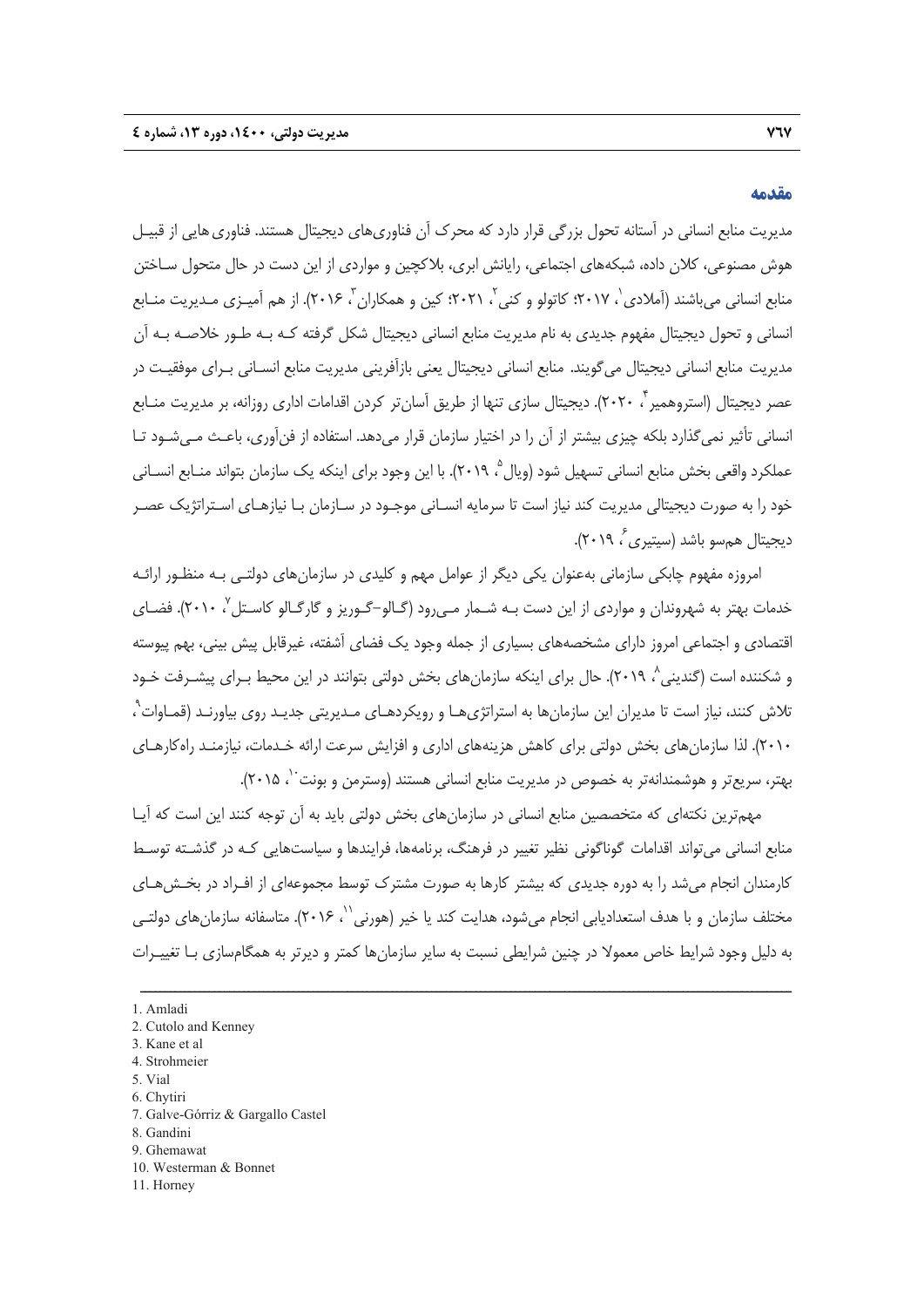### **مقدمه**

مديريت منابع انساني در آستانه تحول بزرگي قرار دارد كه محرك آن فناوري هاي ديجيتال هستند. فناوري هايي از قبيـل هوش مصنوعي، كلان داده، شبكههاي اجتماعي، رايانش ابري، بلاكچين و مواردي از اين دست در حال متحول سـاختن منابع انساني مے باشند (آملادي `، ٢٠١٧؛ كاتولو و كني `، ٢٠٢١؛ كين و همكاران ّ، ٢٠١۶). از هم آميـزي ميديريت منـابع انساني و تحول ديجيتال مفهوم جديدي به نام مديريت منابع انساني ديجيتال شكل گرفته كـه بـه طـور خلاصـه بـه آن مديريت منابع انساني ديجيتال ميگويند. منابع انساني ديجيتال يعني بازآفريني مديريت منابع انسـاني بـراي موفقيـت در عصر ديجيتال (استروهمير **ً، ٢٠٢٠).** ديجيتال سازى تنها از طريق اَسانتر كردن اقدامات ادارى روزانه، بر مديريت منـابع انساني تأثير نميگذارد بلكه چيزي بيشتر از آن را در اختيار سازمان قرار ميدهد. استفاده از فنآوري، باعـث مـيشـود تـا عملكرد واقعي بخش منابع انساني تسهيل شود (ويال °، ٢٠١٩). با اين وجود براي اينكه يک سازمان بتواند منــابع انســاني خود را به صورت ديجيتالي مديريت كند نياز است تا سرمايه انسـاني موجـود در سـازمان بـا نيازهـاي اسـتراتژيك عصـر ، 2019). <sup>6</sup> ديجيتال همسو باشد (سيتيري

امروزه مفهوم چابكي سازماني بهعنوان يكي ديگر از عوامل مهم و كليدي در سازمانهاي دولتـي بـه منظـور ارائـه خدمات بهتر به شهروندان و مواردي از اين دست بـه شـمار مـي,رود (گـالو–گـوريز و گارگـالو كاسـتل $'$ ، ۲۰۱۰). فضـاي اقتصادي و اجتماعي امروز داراي مشخصههاي بسياري از جمله وجود يك فضاي آشفته، غيرقابل پيش بيني، بهم پيوسته و شكننده است (گندينی^، ٢٠١٩). حال برای اينكه سازمانهای بخش دولتی بتوانند در اين محيط بـرای پيشــرفت خــود نلاش كنند، نياز است تا مديران اين سازمانها به استراتژىهـا و رويكردهـاى مـديريتي جديـد روى بياورنـد (قمـاوات<sup>۹</sup> ، 2010). لذا سازمانهاي بخش دولتي براي كاهش هزينههاي اداري و افزايش سرعت ارائه خـدمات، نيازمنـد راهكارهـاي بهتر، سريعتر و هوشمندانهتر به خصوص در مديريت منابع انساني هستند (وسترمن و بونت 10 .(2015 ،

مهمترين نكتهاي كه متخصصين منابع انساني در سازمانهاي بخش دولتي بايد به آن توجه كنند اين است كه آيـا منابع انساني ميتواند اقدامات گوناگوني نظير تغيير در فرهنگ، برنامهها، فرايندها و سياستهايي كـه در گذشـته توسـط كارمندان انجام ميشد را به دوره جديدي كه بيشتر كارها به صورت مشترك توسط مجموعهاي از افـراد در بخـشهـاي مختلف سازمان و با هدف استعداديابي انجام مي شود، هدايت كند يا خير (هورني ``، ٢٠١۶). متاسفانه سازمان هاي دولتـي به دليل وجود شرايط خاص معمولا در چنين شرايطي نسبت به ساير سازمانها كمتر و ديرتر به همگامسازي بـا تغييـرات

- 3. Kane et al
- 4. Strohmeier
- 5. Vial
- 6. Chytiri
- 7. Galve-Górriz & Gargallo Castel
- 8. Gandini
- 9. Ghemawat
- 10. Westerman & Bonnet
- 11. Horney

<sup>1.</sup> Amladi

<sup>2.</sup> Cutolo and Kenney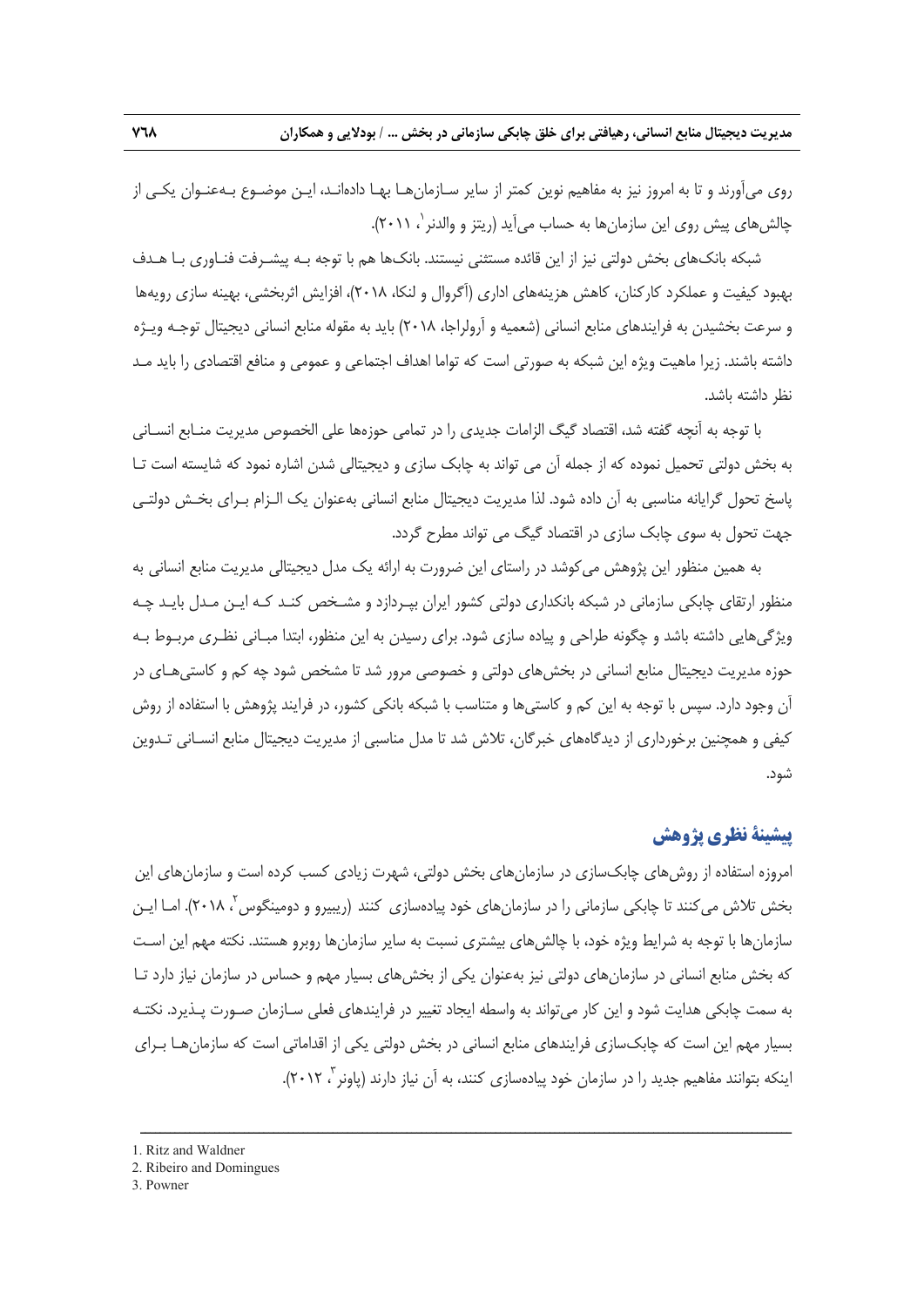**مديريت ديجيتال منابع انساني، رهيافتي براي خلق چابكي سازماني در بخش ... / بودلايي و همكاران 768** 

روي ميآورند و تا به امروز نيز به مفاهيم نوين كمتر از ساير سـازمانهـا بهـا دادهانـد، ايـن موضـوع بـهعنـوان يكـي از چالش هاي پيش روي اين سازمان ها به حساب مي آيد (ريتز و والدنر `، ۲۰۱۱).

شبكه بانكهاي بخش دولتي نيز از اين قائده مستثني نيستند. بانكها هم با توجه بـه پيشـرفت فنـاوري بـا هـدف بهبود كيفيت و عملكرد كاركنان، كاهش هزينههاي اداري (آگروال و لنكا، 2018)، افزايش اثربخشي، بهينه سازي رويهها و سرعت بخشيدن به فرايندهاي منابع انساني (شعميه و آرولراجا، 2018) بايد به مقوله منابع انساني ديجيتال توجـه ويـژه داشته باشند. زيرا ماهيت ويژه اين شبكه به صورتي است كه تواما اهداف اجتماعي و عمومي و منافع اقتصادي را بايد مـد نظر داشته باشد.

با توجه به آنچه گفته شد، اقتصاد گيگ الزامات جديدي را در تمامي حوزهها علي الخصوص مديريت منـابع انسـاني به بخش دولتي تحميل نموده كه از جمله آن مي تواند به چابك سازي و ديجيتالي شدن اشاره نمود كه شايسته است تـا پاسخ تحول گرايانه مناسبي به آن داده شود. لذا مديريت ديجيتال منابع انساني بهعنوان يك الـزام بـراي بخـش دولتـي جهت تحول به سوي چابك سازي در اقتصاد گيگ مي تواند مطرح گردد.

به همين منظور اين پژوهش ميكوشد در راستاي اين ضرورت به ارائه يك مدل ديجيتالي مديريت منابع انساني به منظور ارتقاي چابكي سازماني در شبكه بانكداري دولتي كشور ايران بپـردازد و مشـخص كنـد كـه ايـن مـدل بايـد چـه ويژگيهايي داشته باشد و چگونه طراحي و پياده سازي شود. براي رسيدن به اين منظور، ابتدا مبـاني نظـري مربـوط بـه حوزه مديريت ديجيتال منابع انساني در بخشهاي دولتي و خصوصي مرور شد تا مشخص شود چه كم و كاستيهـاي در آن وجود دارد. سپس با توجه به اين كم و كاستيها و متناسب با شبكه بانكي كشور، در فرايند پژوهش با استفاده از روش كيفي و همچنين برخورداري از ديدگاههاي خبرگان، تلاش شد تا مدل مناسبي از مديريت ديجيتال منابع انسـاني تـدوين شود.

### **پيشينة نظري پژوهش**

امروزه استفاده از روشهاي چابكسازي در سازمانهاي بخش دولتي، شهرت زيادي كسب كرده است و سازمانهاي اين بخش تلاش میکنند تا چابکی سازمانی را در سازمانهای خود پیادهسازی کنند (ریبیرو و دومینگوس<sup>۲</sup>، ۲۰۱۸). امـا ایـن سازمانها با توجه به شرايط ويژه خود، با چالشهاي بيشتري نسبت به ساير سازمانها روبرو هستند. نكته مهم اين اسـت كه بخش منابع انساني در سازمانهاي دولتي نيز بهعنوان يكي از بخشهاي بسيار مهم و حساس در سازمان نياز دارد تـا به سمت چابكي هدايت شود و اين كار ميتواند به واسطه ايجاد تغيير در فرايندهاي فعلي سـازمان صـورت پـذيرد. نكتـه بسيار مهم اين است كه چابكسازي فرايندهاي منابع انساني در بخش دولتي يكي از اقداماتي است كه سازمانهـا بـراي اينكه بتوانند مفاهيم جديد را در سازمان خود پيادهسازي كنند، به آن نياز دارند (پاونر<sup>",</sup> ۲۰۱۲).

- 1. Ritz and Waldner
- 2. Ribeiro and Domingues
- 3. Powner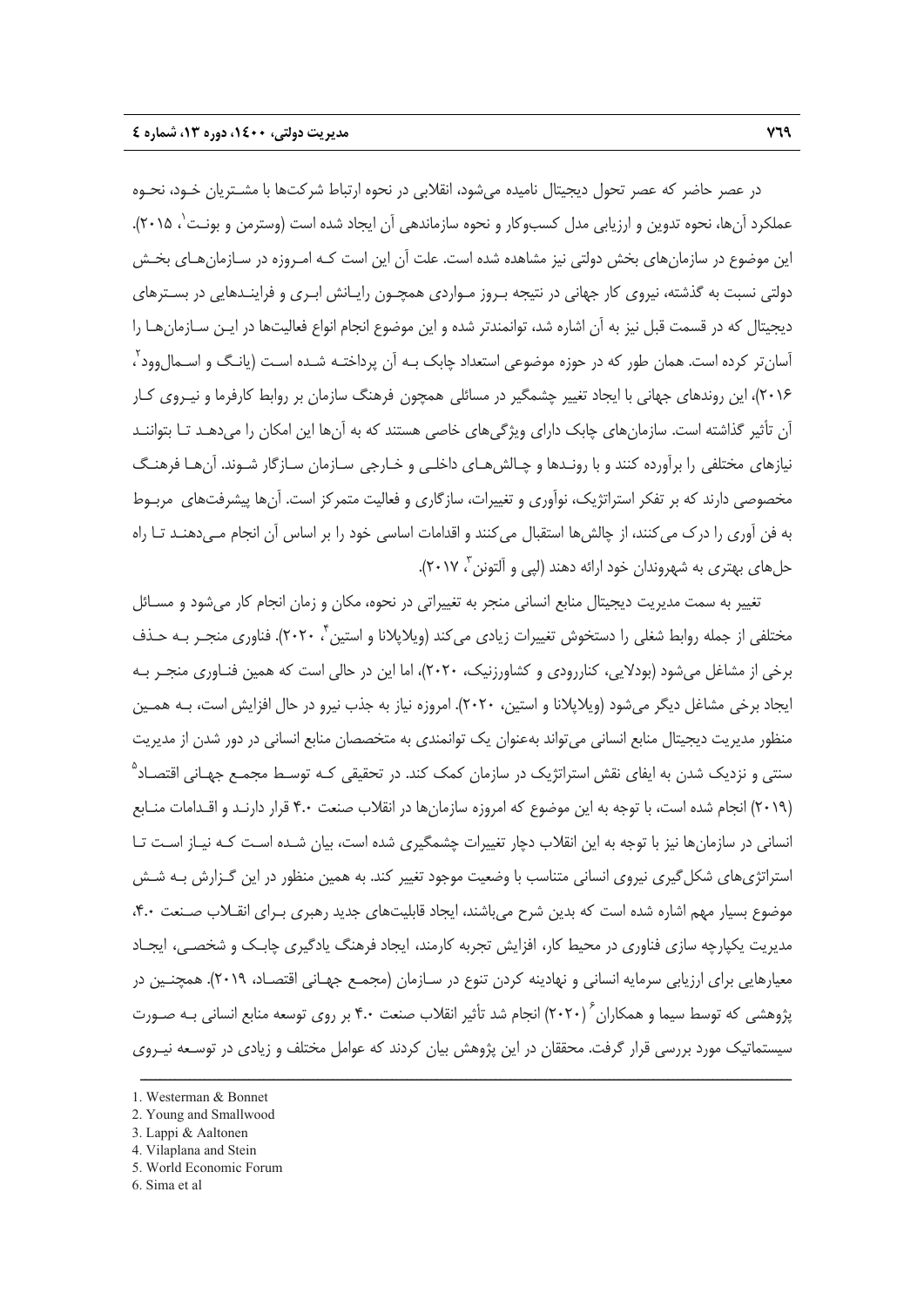در عصر حاضر كه عصر تحول ديجيتال ناميده ميشود، انقلابي در نحوه ارتباط شركتها با مشـتريان خـود، نحـوه عملكرد آنها، نحوه تدوين و ارزيابي مدل كسبوكار و نحوه سازماندهي آن ايجاد شده است (وسترمن و بونـت'، ۲۰۱۵). اين موضوع در سازمانهاي بخش دولتي نيز مشاهده شده است. علت آن اين است كـه امـروزه در سـازمانهـاي بخـش دولتي نسبت به گذشته، نيروي كار جهاني در نتيجه بـروز مـواردي همچـون رايـانش ابـري و فراينـدهايي در بسـترهاي ديجيتال كه در قسمت قبل نيز به آن اشاره شد، توانمندتر شده و اين موضوع انجام انواع فعاليتها در ايـن سـازمانهـا را 2 آسانتر كرده است. همان طور كه در حوزه موضوعي استعداد چابك بـه آن پرداختـه شـده اسـت (يانـگ و اسـمالوود ، 2016)، اين روندهاي جهاني با ايجاد تغيير چشمگير در مسائلي همچون فرهنگ سازمان بر روابط كارفرما و نيـروي كـار آن تأثير گذاشته است. سازمانهاي چابك داراي ويژگيهاي خاصي هستند كه به آنها اين امكان را ميدهـد تـا بتواننـد نيازهاي مختلفي را برآورده كنند و با رونـدها و چـالشهـاي داخلـي و خـارجي سـازمان سـازگار شـوند. آنهـا فرهنـگ مخصوصي دارند كه بر تفكر استراتژيك، نوآوري و تغييرات، سازگاري و فعاليت متمركز است. آنها پيشرفتهاي مربـوط به فن آوري را درك ميكنند، از چالشها استقبال ميكنند و اقدامات اساسي خود را بر اساس آن انجام مـيدهنـد تـا راه حلهاي بهتري به شهروندان خود ارائه دهند (لپي و آلتونن <sup>۳</sup> ۲۰۱۷).

تغيير به سمت مديريت ديجيتال منابع انساني منجر به تغييراتي در نحوه، مكان و زمان انجام كار ميشود و مسـائل مختلفي از جمله روابط شغلي را دستخوش تغييرات زيادي مي كند (ويلاپلانا و استين تي ٢٠٢٠). فناوري منجـر بـه حـذف برخي از مشاغل ميشود (بودلايي، كناررودي و كشاورزنيك، 2020)، اما اين در حالي است كه همين فنـاوري منجـر بـه ايجاد برخي مشاغل ديگر ميشود (ويلاپلانا و استين، 2020). امروزه نياز به جذب نيرو در حال افزايش است، بـه همـين منظور مديريت ديجيتال منابع انساني ميتواند بهعنوان يك توانمندي به متخصصان منابع انساني در دور شدن از مديريت سنتي و نزديک شدن به ايفاي نقش استراتژيک در سازمان كمک كند. در تحقيقي كـه توسـط مجمـع جهـاني اقتصـاد<sup>۵</sup> (2019) انجام شده است، با توجه به اين موضوع كه امروزه سازمانها در انقلاب صنعت 4.0 قرار دارنـد و اقـدامات منـابع انساني در سازمانها نيز با توجه به اين انقلاب دچار تغييرات چشمگيري شده است، بيان شـده اسـت كـه نيـاز اسـت تـا استراتژيهاي شكلگيري نيروي انساني متناسب با وضعيت موجود تغيير كند. به همين منظور در اين گـزارش بـه شـش موضوع بسيار مهم اشاره شده است كه بدين شرح ميباشند، ايجاد قابليتهاي جديد رهبري بـراي انقـلاب صـنعت ،4.0 مديريت يكپارچه سازي فناوري در محيط كار، افزايش تجربه كارمند، ايجاد فرهنگ يادگيري چابـك و شخصـي، ايجـاد معيارهايي براي ارزيابي سرمايه انساني و نهادينه كردن تنوع در سـازمان (مجمـع جهـاني اقتصـاد، 2019). همچنـين در پژوهشی که توسط سیما و همکاران ٔ (۲۰۲۰) انجام شد تأثیر انقلاب صنعت ۴.۰ بر روی توسعه منابع انسانی بـه صـورت سيستماتيك مورد بررسي قرار گرفت. محققان در اين پژوهش بيان كردند كه عوامل مختلف و زيادي در توسـعه نيـروي

ــــــــــــــــــــــــــــــــــــــــــــــــــــــــــــــــــــــــــــــــــــــــــــــــــــــــــــــــــــــــــــــــــــ

3. Lappi & Aaltonen

- 5. World Economic Forum
- 6. Sima et al

<sup>1.</sup> Westerman & Bonnet

<sup>2.</sup> Young and Smallwood

<sup>4.</sup> Vilaplana and Stein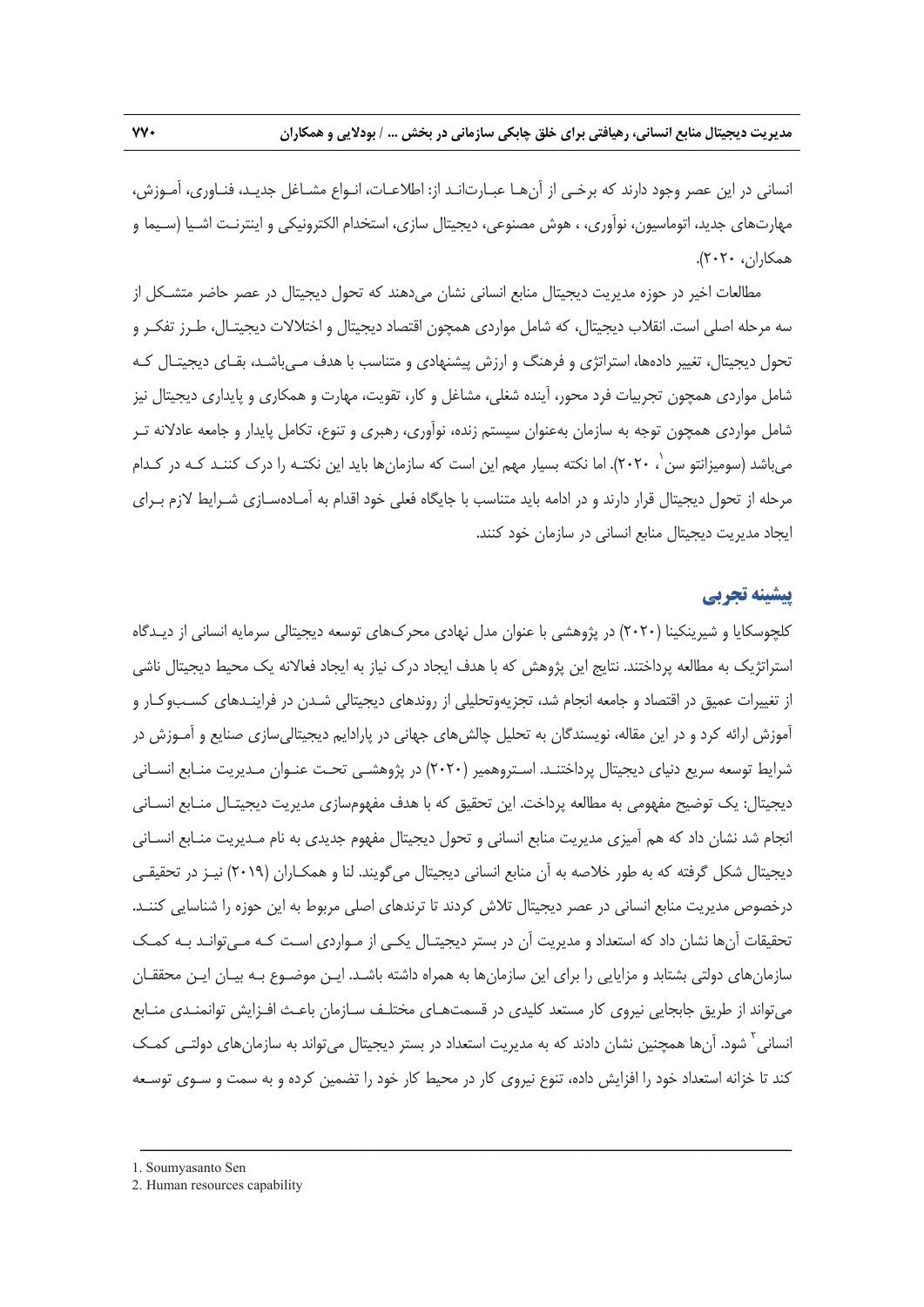انساني در اين عصر وجود دارند كه برخـي از آنهـا عبـارتانـد از: اطلاعـات، انـواع مشـاغل جديـد، فنـاوري، آمـوزش، مهارتهاي جديد، اتوماسيون، نوآوري، ، هوش مصنوعي، ديجيتال سازي، استخدام الكترونيكي و اينترنـت اشـيا (سـيما و همكاران، 2020).

مطالعات اخير در حوزه مديريت ديجيتال منابع انساني نشان ميدهند كه تحول ديجيتال در عصر حاضر متشـكل از سه مرحله اصلي است. انقلاب ديجيتال، كه شامل مواردي همچون اقتصاد ديجيتال و اختلالات ديجيتـال، طـرز تفكـر و تحول ديجيتال، تغيير دادهها، استراتژي و فرهنگ و ارزش پيشنهادي و متناسب با هدف مـيباشـد، بقـاي ديجيتـال كـه شامل مواردي همچون تجربيات فرد محور، آينده شغلي، مشاغل و كار، تقويت، مهارت و همكاري و پايداري ديجيتال نيز شامل مواردي همچون توجه به سازمان بهعنوان سيستم زنده، نوآوري، رهبري و تنوع، تكامل پايدار و جامعه عادلانه تـر میباشد (سومیزانتو سن`، ۲۰۲۰). اما نكته بسیار مهم این است كه سازمانها باید این نكتـه را درک كننـد كـه در كـدام مرحله از تحول ديجيتال قرار دارند و در ادامه بايد متناسب با جايگاه فعلي خود اقدام به آمـادهسـازي شـرايط لازم بـراي ايجاد مديريت ديجيتال منابع انساني در سازمان خود كنند.

### **پيشينه تجربي**

كلچوسكايا و شيرينكينا (2020) در پژوهشي با عنوان مدل نهادي محركهاي توسعه ديجيتالي سرمايه انساني از ديـدگاه استراتژيك به مطالعه پرداختند. نتايج اين پژوهش كه با هدف ايجاد درك نياز به ايجاد فعالانه يك محيط ديجيتال ناشي از تغييرات عميق در اقتصاد و جامعه انجام شد، تجزيهوتحليلي از روندهاي ديجيتالي شـدن در فراينـدهاي كسـبوكـار و آموزش ارائه كرد و در اين مقاله، نويسندگان به تحليل چالشهاي جهاني در پارادايم ديجيتاليسازي صنايع و آمـوزش در شرايط توسعه سريع دنياي ديجيتال پرداختنـد. اسـتروهمير (2020) در پژوهشـي تحـت عنـوان مـديريت منـابع انسـاني ديجيتال: يك توضيح مفهومي به مطالعه پرداخت. اين تحقيق كه با هدف مفهومسازي مديريت ديجيتـال منـابع انسـاني انجام شد نشان داد كه هم آميزي مديريت منابع انساني و تحول ديجيتال مفهوم جديدي به نام مـديريت منـابع انسـاني ديجيتال شكل گرفته كه به طور خلاصه به آن منابع انساني ديجيتال ميگويند. لنا و همكـاران (2019) نيـز در تحقيقـي درخصوص مديريت منابع انساني در عصر ديجيتال تلاش كردند تا ترندهاي اصلي مربوط به اين حوزه را شناسايي كننـد. تحقيقات آنها نشان داد كه استعداد و مديريت آن در بستر ديجيتـال يكـي از مـواردي اسـت كـه مـيتوانـد بـه كمـك سازمانهاي دولتي بشتابد و مزايايي را براي اين سازمانها به همراه داشته باشـد. ايـن موضـوع بـه بيـان ايـن محققـان ميتواند از طريق جابجايي نيروي كار مستعد كليدي در قسمتهـاي مختلـف سـازمان باعـث افـزايش توانمنـدي منـابع انساني <sup>1</sup> شود. آنها همچنين نشان دادند كه به مديريت استعداد در بستر ديجيتال مي تواند به سازمانهاي دولتـي كمـك كند تا خزانه استعداد خود را افزايش داده، تنوع نيروي كار در محيط كار خود را تضمين كرده و به سمت و سـوي توسـعه

<sup>1.</sup> Soumyasanto Sen

<sup>2.</sup> Human resources capability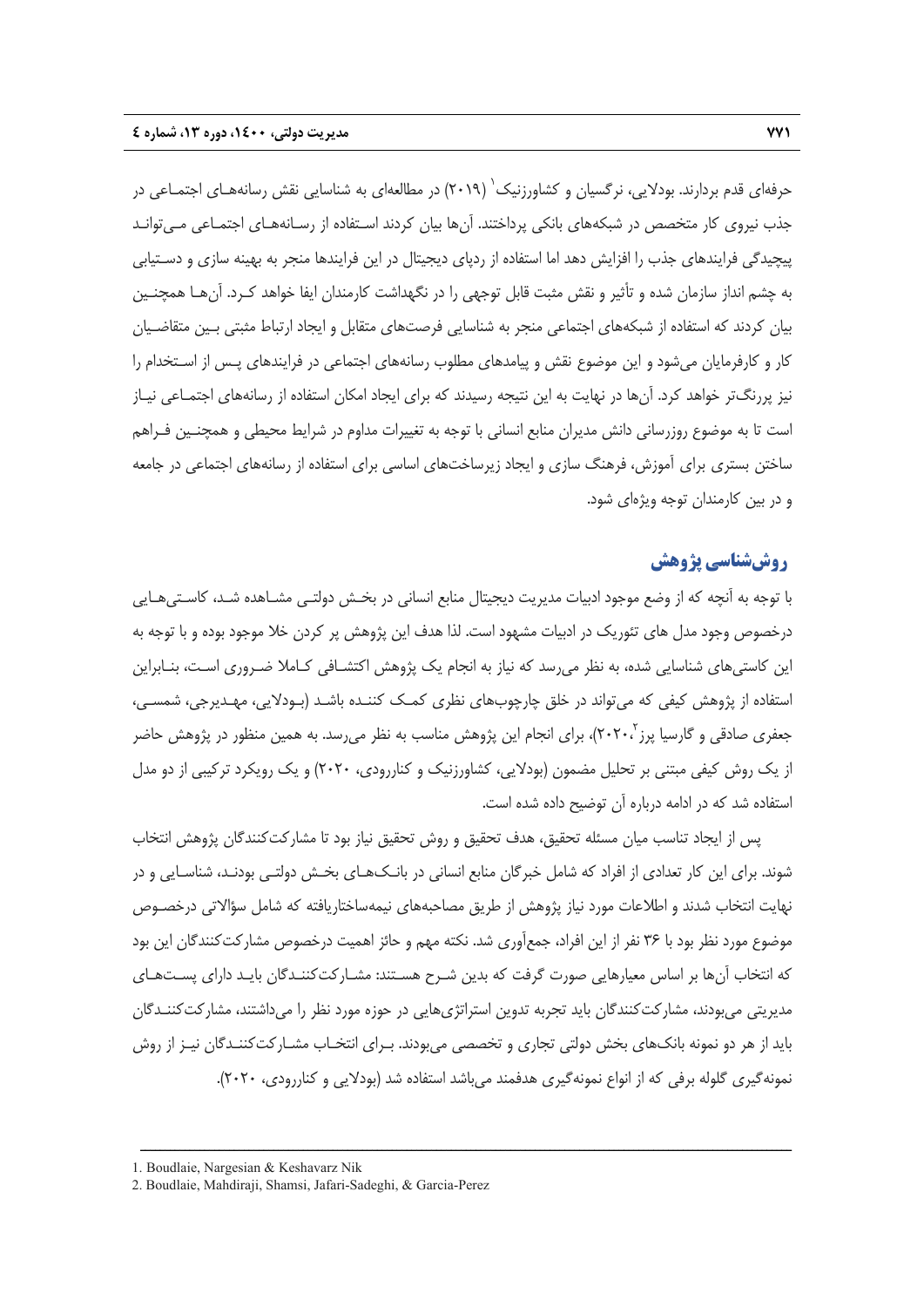حرفهای قدم بردارند. بودلایی، نرگسیان و کشاورزنیک<sup>٬</sup> (۲۰۱۹) در مطالعهای به شناسایی نقش رسانههـای اجتمـاعی در جذب نيروي كار متخصص در شبكههاي بانكي پرداختند. آنها بيان كردند اسـتفاده از رسـانههـاي اجتمـاعي مـيتوانـد پيچيدگي فرايندهاي جذب را افزايش دهد اما استفاده از ردپاي ديجيتال در اين فرايندها منجر به بهينه سازي و دسـتيابي به چشم انداز سازمان شده و تأثير و نقش مثبت قابل توجهي را در نگهداشت كارمندان ايفا خواهد كـرد. آنهـا همچنـين بيان كردند كه استفاده از شبكههاي اجتماعي منجر به شناسايي فرصتهاي متقابل و ايجاد ارتباط مثبتي بـين متقاضـيان كار و كارفرمايان ميشود و اين موضوع نقش و پيامدهاي مطلوب رسانههاي اجتماعي در فرايندهاي پـس از اسـتخدام را نيز پررنگتر خواهد كرد. آنها در نهايت به اين نتيجه رسيدند كه براي ايجاد امكان استفاده از رسانههاي اجتمـاعي نيـاز است تا به موضوع روزرساني دانش مديران منابع انساني با توجه به تغييرات مداوم در شرايط محيطي و همچنـين فـراهم ساختن بستري براي آموزش، فرهنگ سازي و ايجاد زيرساختهاي اساسي براي استفاده از رسانههاي اجتماعي در جامعه و در بين كارمندان توجه ويژهاي شود.

### **روششناسي پژوهش**

با توجه به آنچه كه از وضع موجود ادبيات مديريت ديجيتال منابع انساني در بخـش دولتـي مشـاهده شـد، كاسـتيهـايي درخصوص وجود مدل هاي تئوريك در ادبيات مشهود است. لذا هدف اين پژوهش پر كردن خلا موجود بوده و با توجه به اين كاستيهاي شناسايي شده، به نظر ميرسد كه نياز به انجام يك پژوهش اكتشـافي كـاملا ضـروري اسـت، بنـابراين استفاده از پژوهش كيفي كه ميتواند در خلق چارچوبهاي نظري كمـك كننـده باشـد (بـودلايي، مهـديرجي، شمسـي، جعفری صادقی و گارسیا پرز ۲۰۲۰<sup>۲</sup>)، برای انجام این پژوهش مناسب به نظر میرسد. به همین منظور در پژوهش حاضر از يك روش كيفي مبتني بر تحليل مضمون (بودلايي، كشاورزنيك و كناررودي، 2020) و يك رويكرد تركيبي از دو مدل استفاده شد كه در ادامه درباره آن توضيح داده شده است.

پس از ايجاد تناسب ميان مسئله تحقيق، هدف تحقيق و روش تحقيق نياز بود تا مشاركتكنندگان پژوهش انتخاب شوند. براي اين كار تعدادي از افراد كه شامل خبرگان منابع انساني در بانـكهـاي بخـش دولتـي بودنـد، شناسـايي و در نهايت انتخاب شدند و اطلاعات مورد نياز پژوهش از طريق مصاحبههاي نيمهساختاريافته كه شامل سؤالاتي درخصـوص موضوع مورد نظر بود با 36 نفر از اين افراد، جمعآوري شد. نكته مهم و حائز اهميت درخصوص مشاركتكنندگان اين بود كه انتخاب آنها بر اساس معيارهايي صورت گرفت كه بدين شـرح هسـتند: مشـاركتكننـدگان بايـد داراي پسـتهـاي مديريتي ميبودند، مشاركتكنندگان بايد تجربه تدوين استراتژيهايي در حوزه مورد نظر را ميداشتند، مشاركتكننـدگان بايد از هر دو نمونه بانكـهاي بخش دولتي تجاري و تخصصي مي،بودند. بـراي انتخـاب مشـاركتكننـدگان نيـز از روش نمونهگيري گلوله برفي كه از انواع نمونهگيري هدفمند ميباشد استفاده شد (بودلايي و كناررودي، 2020).

<sup>1.</sup> Boudlaie, Nargesian & Keshavarz Nik

<sup>2.</sup> Boudlaie, Mahdiraji, Shamsi, Jafari-Sadeghi, & Garcia-Perez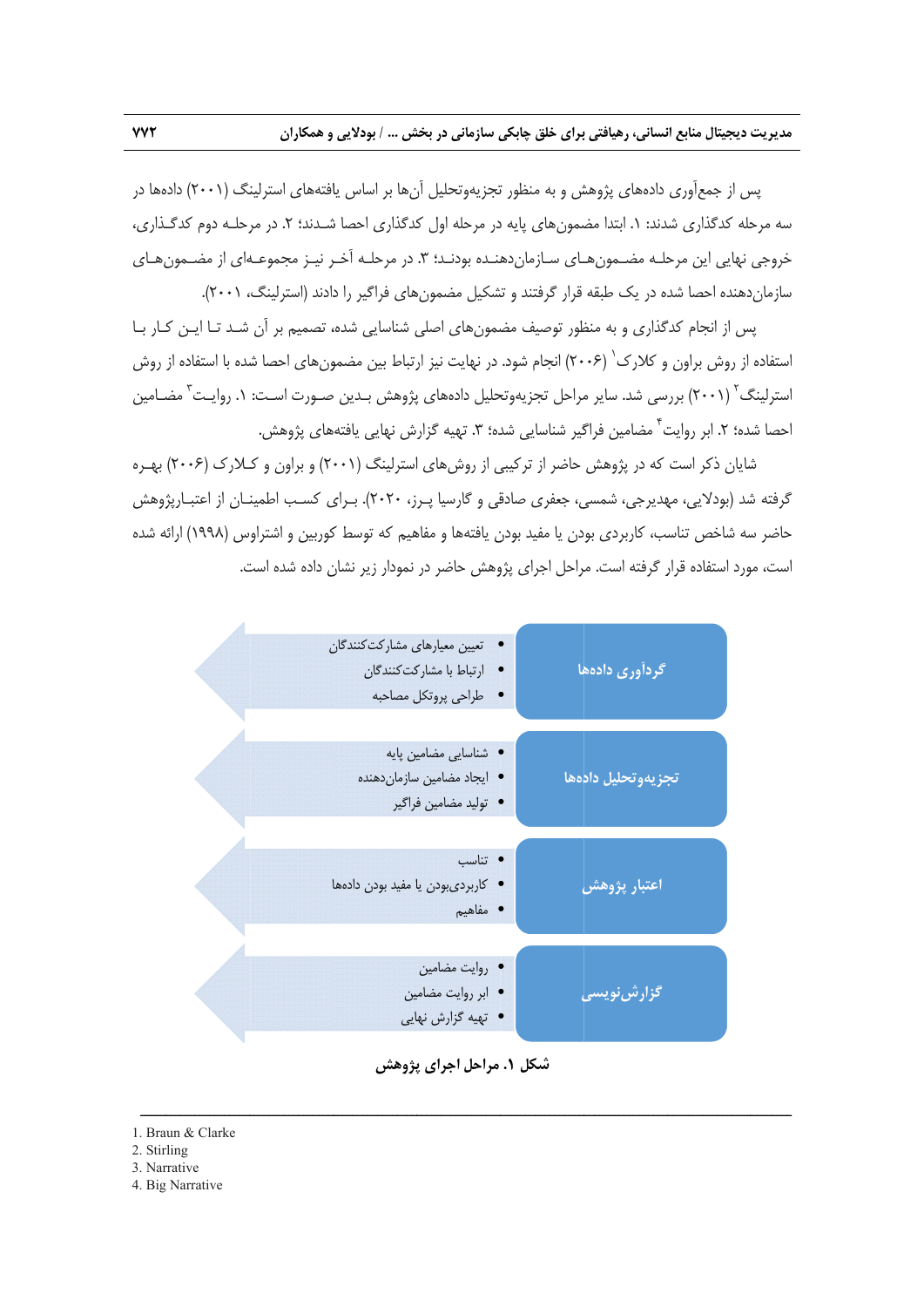پس از جمعآوری دادههای پژوهش و به منظور تجزیهوتحلیل آنها بر اساس یافتههای استرلینگ (۲۰۰۱) دادهها در سه مرحله کدگذاری شدند: ۱. ابتدا مضمونهای پایه در مرحله اول کدگذاری احصا شـدند؛ ۲. در مرحلـه دوم کدگـذاری، خروجي نهايي اين مرحلـه مضـمون هـاي سـازمان‹هنـده بودنـد؛ ۳. در مرحلـه آخـر نيـز مجموعـهاي از مضـمون هـاي سازماندهنده احصا شده در یک طبقه قرار گرفتند و تشکیل مضمونهای فراگیر را دادند (استرلینگ، ۲۰۰۱).

پس از انجام كدگذارى و به منظور توصيف مضمونهاى اصلى شناسايى شده، تصميم بر آن شـد تـا ايـن كـار بـا ٔ ستفاده از روش براون و کلارک<sup>۱</sup> (۲۰۰۶) انجام شود. در نهایت نیز ارتباط بین مضمونهای احصا شده با استفاده از روش گ<sup>۲</sup> (۲۰۰۱) بررسی شد. سایر مراحل تجزیهوتحلیل دادههای پژوهش بـدین صـورت اسـت: ۱. روایـت<sup>۳</sup> مضـامین شده؛ ۲. ابر روایت آ مضامین فراگیر شناسایی شده؛ ۳. تهیه گزارش نهایی یافتههای پژوهش.<br>شایان ذکر است که در پژوهش حاضر از ترکیبی از روشهای استرلینگ (۲۰۰۱) و براون و کـلارک (۲۰۰۶) بهـره 'سترلینگ' (۲۰۰۱) بررسی شد. سایر مراحل تجزیهوتحلیل دادههای پژوهش بـدین صـورت اسـت<br>'حصا شده؛ ۲. ابر روایت<sup>۴</sup> مضامین فراگیر شناسایی شده؛ ۳. تهیه گزارش نهایی یافتههای پژوهش.

گرفته شد (بودلایی، مهدیرجی، شمسی، جعفری صادقی و گارسیا پـرز، ۲۰۲۰). بـرای کسـب اطمینـان از اعتبـارپژوهش حاضر سه شاخص تناسب، كاربردى بودن يا مفيد بودن يافتهها و مفاهيم كه توسط كوربين و اشتراوس (١٩٩٨) ارائه شده ُست، مورد استفاده قرار گرفته است. مراحل اجرای پژوهش حاضر در نمودار زیر نشان داده شده است.



**پژوهش مراحل اجراي پ شكل .1**

ــــــــــــــــــ

ــــــــــــــــــ

ــــــــــــــــــ

ــــــــــــــــــ

ـــــــــ

1. Braun & Clarke

ــــــــــــــــــ

ــــــــــــــــــ

ــــــــــــــــــ

2. Stirl ling

ــــــ

3. Nar rrative

4. Big Narrative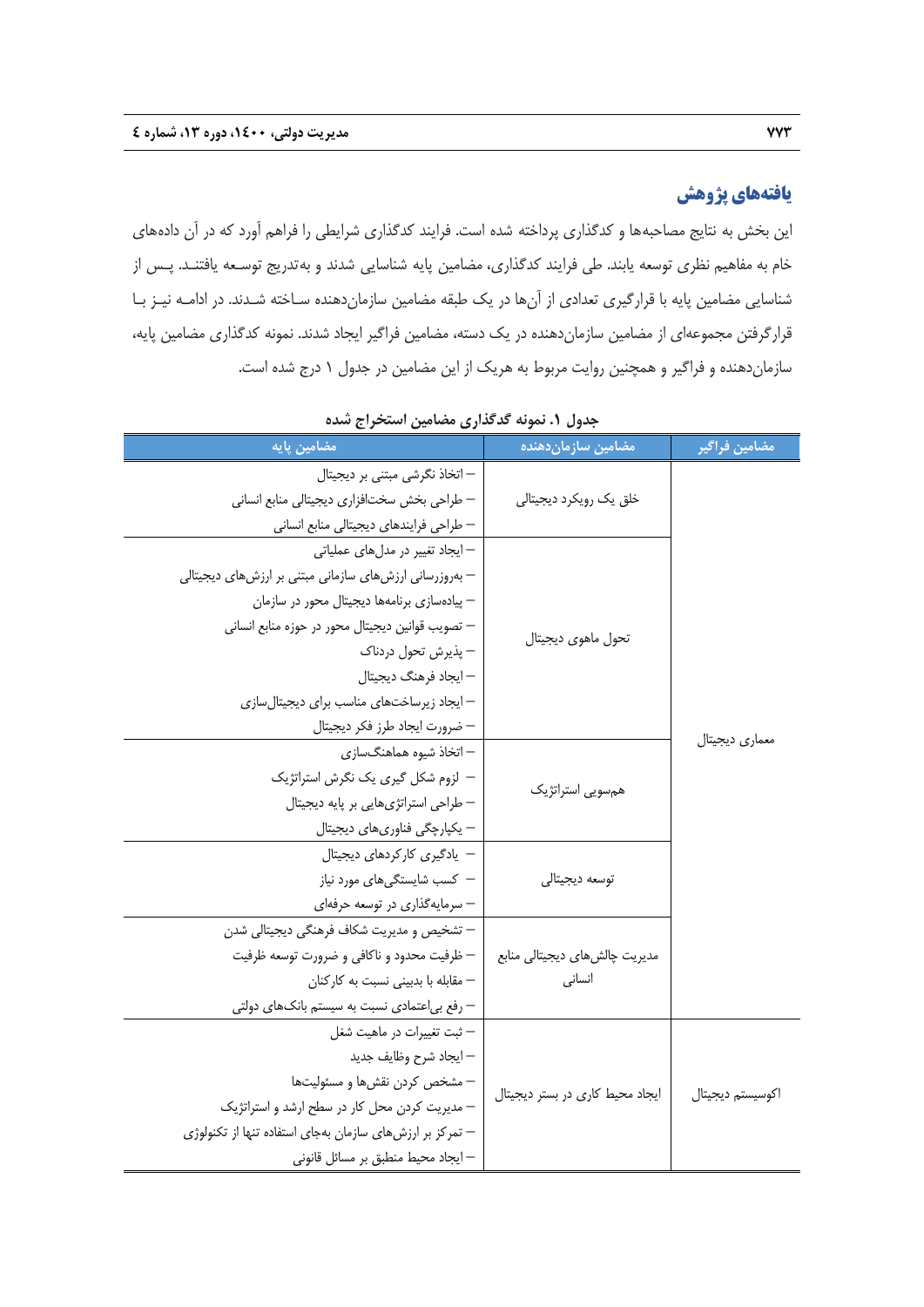### **يافتههاي پژوهش**

اين بخش به نتايج مصاحبهها و كدگذاري پرداخته شده است. فرايند كدگذاري شرايطي را فراهم آورد كه در آن دادههاي خام به مفاهيم نظري توسعه يابند. طي فرايند كدگذاري، مضامين پايه شناسايي شدند و بهتدريج توسـعه يافتنـد. پـس از شناسايي مضامين پايه با قرارگيري تعدادي از آنها در يك طبقه مضامين سازماندهنده سـاخته شـدند. در ادامـه نيـز بـا قرارگرفتن مجموعهاي از مضامين سازماندهنده در يك دسته، مضامين فراگير ايجاد شدند. نمونه كدگذاري مضامين پايه، سازماندهنده و فراگير و همچنين روايت مربوط به هريك از اين مضامين در جدول 1 درج شده است.

| مضامین پایه                                                                                                                                                                                                                                                                                                                | مضامین سازماندهنده                      | مضامين فراگير    |
|----------------------------------------------------------------------------------------------------------------------------------------------------------------------------------------------------------------------------------------------------------------------------------------------------------------------------|-----------------------------------------|------------------|
| – اتخاذ نگرشی مبتنی بر دیجیتال<br>– طراحی بخش سختافزاری دیجیتالی منابع انسانی<br>– طراحی فرایندهای دیجیتالی منابع انسانی                                                                                                                                                                                                   | خلق یک رویکرد دیجیتالی                  |                  |
| – ایجاد تغییر در مدلهای عملیاتی<br>– بهروزرسانی ارزشهای سازمانی مبتنی بر ارزشهای دیجیتالی<br>– پیادهسازی برنامهها دیجیتال محور در سازمان<br>– تصويب قوانين ديجيتال محور در حوزه منابع انسانى<br>— پذیرش تحول دردناک<br>– ايجاد فرهنگ ديجيتال<br>– ایجاد زیرساختهای مناسب برای دیجیتالسازی<br>— ضرورت ايجاد طرز فكر ديجيتال | تحول ماهوى ديجيتال                      |                  |
| – اتخاذ شیوه هماهنگساز <i>ی</i><br>– لزوم شكل گيري يک نگرش استراتژيک<br>– طراحی استراتژیهایی بر پایه دیجیتال<br>– یکپارچگی فناوریهای دیجیتال                                                                                                                                                                               | همسويي استراتژيک                        | معماري ديجيتال   |
| – یادگیری کارکردهای دیجیتال<br>– كسب شايستگىهاى مورد نياز<br>– سرمایهگذاری در توسعه حرفهای                                                                                                                                                                                                                                 | توسعه ديجيتالي                          |                  |
| — تشخیص و مدیریت شکاف فرهنگی دیجیتالی شدن<br>— ظرفیت محدود و ناکافی و ضرورت توسعه ظرفیت<br>– مقابله با بدبینی نسبت به کارکنان<br>– رفع بی عتمادی نسبت به سیستم بانکهای دولتی                                                                                                                                               | مدیریت چالشهای دیجیتالی منابع<br>انسانى |                  |
| – ثبت تغييرات در ماهيت شغل<br>— ايجاد شرح وظايف جديد<br>– مشخص كردن نقشها و مسئوليتها<br>– مدیریت کردن محل کار در سطح ارشد و استراتژیک<br>– تمرکز بر ارزشهای سازمان بهجای استفاده تنها از تکنولوژی<br>– ايجاد محيط منطبق بر مسائل قانونى                                                                                   | ایجاد محیط کاری در بستر دیجیتال         | اكوسيستم ديجيتال |

**جدول .1 نمونه گدگذاري مضامين استخراج شده**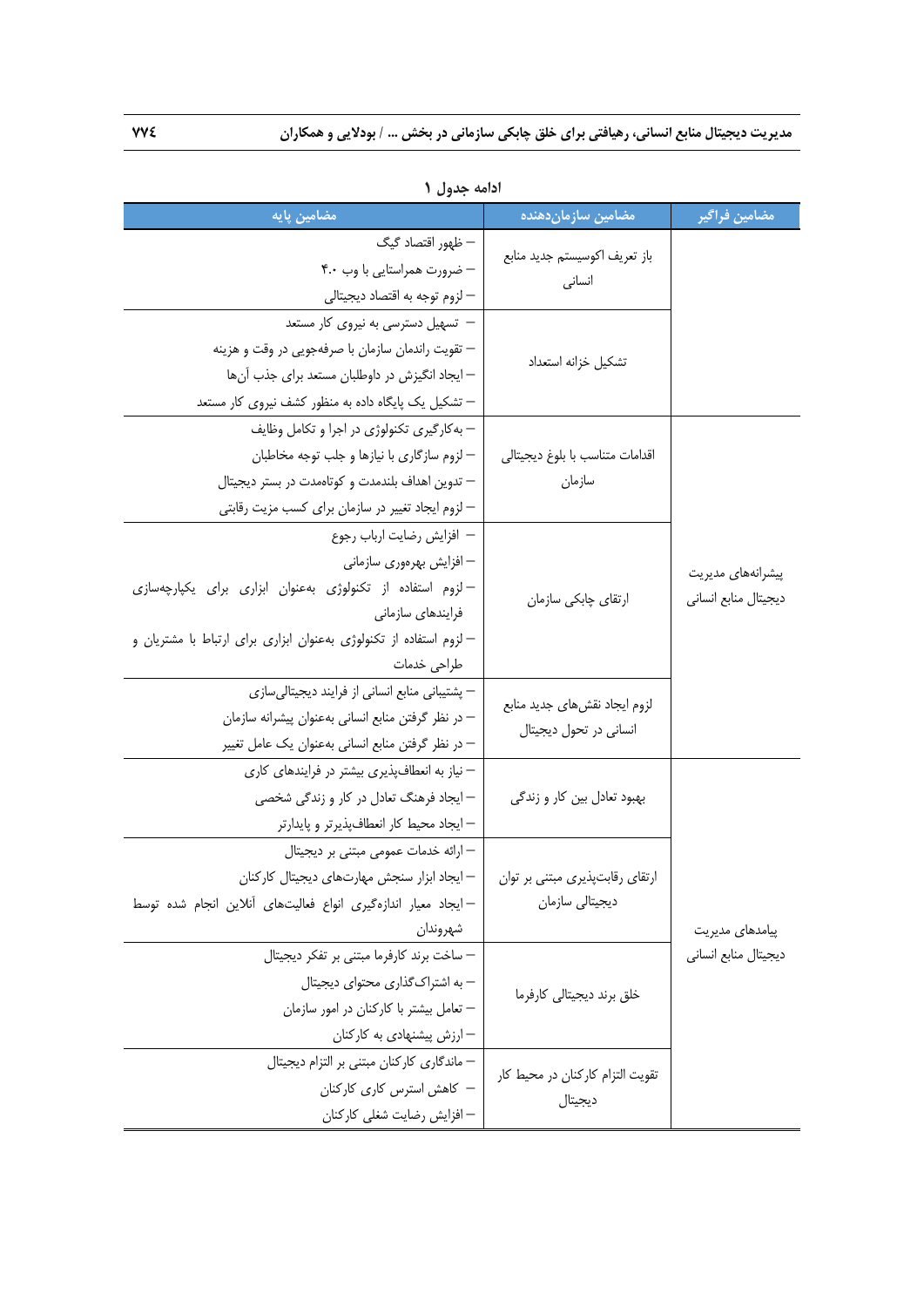| مضامین پایه                                                        | مضامین سازماندهنده                                      | مضامين فراگير        |
|--------------------------------------------------------------------|---------------------------------------------------------|----------------------|
| — ظهور اقتصاد گیگ                                                  | باز تعريف اكوسيستم جديد منابع<br>انسانى                 |                      |
| - ضرورت همراستایی با وب ۴.۰                                        |                                                         |                      |
| – لزوم توجه به اقتصاد ديجيتالي                                     |                                                         |                      |
| – تسهیل دسترسی به نیروی کار مستعد                                  | تشكيل خزانه استعداد                                     |                      |
| — تقويت راندمان سازمان با صرفهجويي در وقت و هزينه                  |                                                         |                      |
| – ایجاد انگیزش در داوطلبان مستعد برای جذب آنها                     |                                                         |                      |
| – تشکیل یک پایگاه داده به منظور کشف نیروی کار مستعد                |                                                         |                      |
| – به کارگیری تکنولوژی در اجرا و تکامل وظایف                        |                                                         |                      |
| – لزوم سازگاری با نیازها و جلب توجه مخاطبان                        | اقدامات متناسب با بلوغ ديجيتالي                         |                      |
| — تدوين اهداف بلندمدت و كوتاهمدت در بستر ديجيتال                   | سازمان                                                  |                      |
| – لزوم ایجاد تغییر در سازمان برای کسب مزیت رقابتی                  |                                                         |                      |
| - افزايش رضايت ارباب رجوع                                          |                                                         |                      |
| – افزایش بهرەورى سازمانى                                           |                                                         | پیشرانههای مدیریت    |
| - لزوم استفاده از تكنولوژى به عنوان ابزارى براى يكپارچه سازى       | ارتقای چابکی سازمان                                     | ديجيتال منابع انسانى |
| فرایندهای سازمانی                                                  |                                                         |                      |
| – لزوم استفاده از تکنولوژی بهعنوان ابزاری برای ارتباط با مشتریان و |                                                         |                      |
| طراحي خدمات                                                        |                                                         |                      |
| – پشتیبانی منابع انسانی از فرایند دیجیتالیسازی                     | لزوم ايجاد نقش هاى جديد منابع<br>انسانی در تحول دیجیتال |                      |
| – در نظر گرفتن منابع انسانی بهعنوان پیشرانه سازمان                 |                                                         |                      |
| – در نظر گرفتن منابع انسانی بهعنوان یک عامل تغییر                  |                                                         |                      |
| – نیاز به انعطافپذیری بیشتر در فرایندهای کاری                      | بهبود تعادل بین کار و زندگی                             |                      |
| – ایجاد فرهنگ تعادل در کار و زندگی شخصی                            |                                                         |                      |
| — ایجاد محیط کار انعطافپذیرتر و پایدارتر                           |                                                         |                      |
| – ارائه خدمات عمومی مبتنی بر دیجیتال                               |                                                         |                      |
| — ایجاد ابزار سنجش مهارتهای دیجیتال کارکنان                        | ارتقای رقابتپذیری مبتنی بر توان                         |                      |
| - ایجاد معیار اندازهگیری انواع فعالیتهای آنلاین انجام شده توسط     | دیجیتالی سازمان                                         |                      |
| شهروندان                                                           |                                                         | پیامدهای مدیریت      |
| – ساخت برند كارفرما مبتنى بر تفكر ديجيتال                          | خلق برند ديجيتالي كارفرما                               | ديجيتال منابع انسانى |
| – به اشتراک گذاری محتوای دیجیتال                                   |                                                         |                      |
| – تعامل بیشتر با کارکنان در امور سازمان                            |                                                         |                      |
| – ارزش پیشنهادی به کارکنان                                         |                                                         |                      |
| – ماندگاری کارکنان مبتنی بر التزام دیجیتال                         | تقویت التزام کارکنان در محیط کار<br>ديجيتال             |                      |
| – كاهش استرس كارى كاركنان                                          |                                                         |                      |
| – افزایش رضایت شغلی کارکنان                                        |                                                         |                      |

**ادامه جدول 1**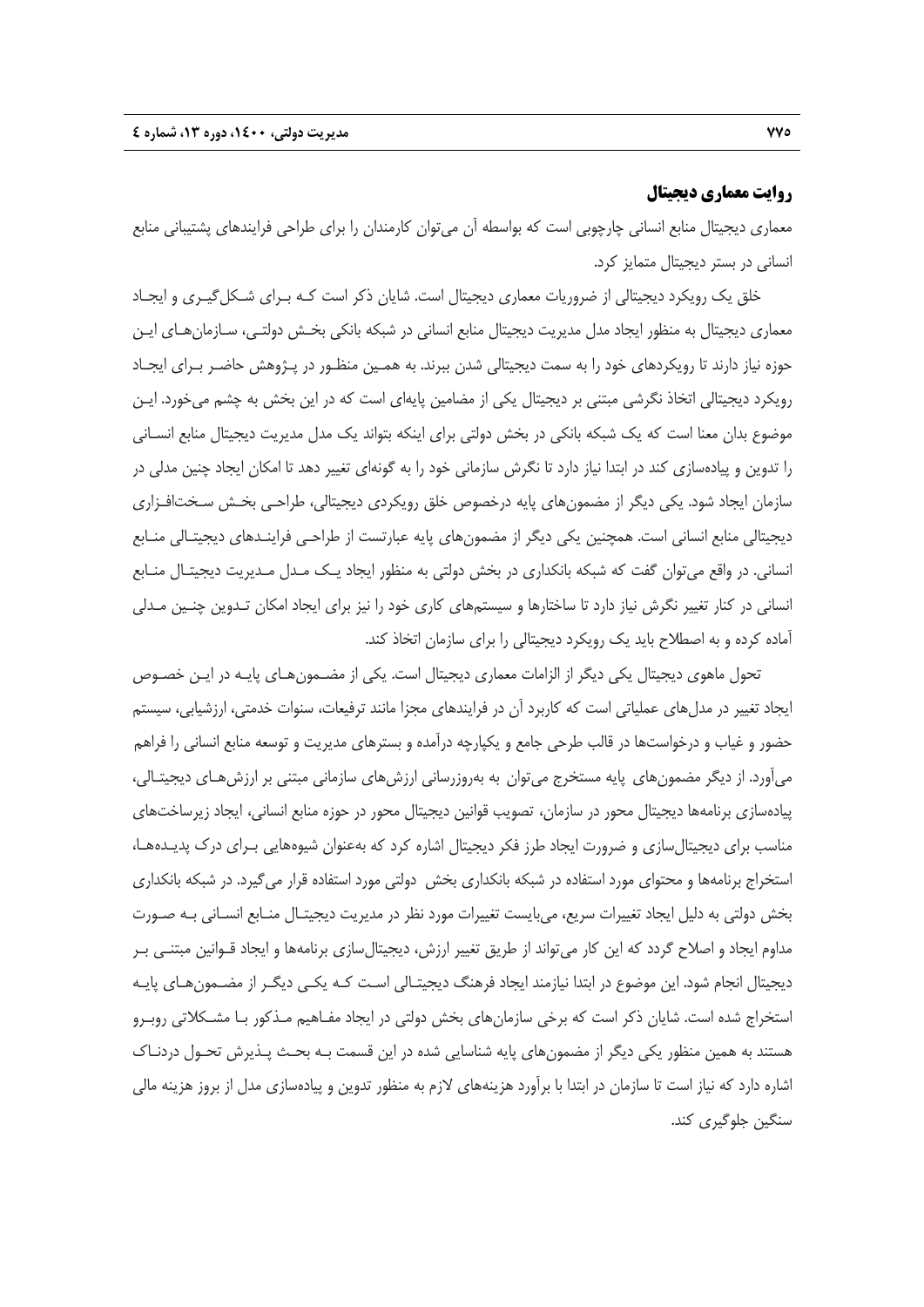### **روايت معماري ديجيتال**

معماري ديجيتال منابع انساني چارچوبي است كه بواسطه آن ميتوان كارمندان را براي طراحي فرايندهاي پشتيباني منابع انساني در بستر ديجيتال متمايز كرد.

خلق يك رويكرد ديجيتالي از ضروريات معماري ديجيتال است. شايان ذكر است كـه بـراي شـكلگيـري و ايجـاد معماري ديجيتال به منظور ايجاد مدل مديريت ديجيتال منابع انساني در شبكه بانكي بخـش دولتـي، سـازمانهـاي ايـن حوزه نياز دارند تا رويكردهاي خود را به سمت ديجيتالي شدن ببرند. به همـين منظـور در پـژوهش حاضـر بـراي ايجـاد رويكرد ديجيتالي اتخاذ نگرشي مبتني بر ديجيتال يكي از مضامين پايهاي است كه در اين بخش به چشم ميخورد. ايـن موضوع بدان معنا است كه يك شبكه بانكي در بخش دولتي براي اينكه بتواند يك مدل مديريت ديجيتال منابع انسـاني را تدوين و پيادهسازي كند در ابتدا نياز دارد تا نگرش سازماني خود را به گونهاي تغيير دهد تا امكان ايجاد چنين مدلي در سازمان ايجاد شود. يكي ديگر از مضمونهاي پايه درخصوص خلق رويكردي ديجيتالي، طراحـي بخـش سـختافـزاري ديجيتالي منابع انساني است. همچنين يكي ديگر از مضمونهاي پايه عبارتست از طراحـي فراينـدهاي ديجيتـالي منـابع انساني. در واقع ميتوان گفت كه شبكه بانكداري در بخش دولتي به منظور ايجاد يـك مـدل مـديريت ديجيتـال منـابع انساني در كنار تغيير نگرش نياز دارد تا ساختارها و سيستمهاي كاري خود را نيز براي ايجاد امكان تـدوين چنـين مـدلي آماده كرده و به اصطلاح بايد يك رويكرد ديجيتالي را براي سازمان اتخاذ كند.

تحول ماهوي ديجيتال يكي ديگر از الزامات معماري ديجيتال است. يكي از مضـمونهـاي پايـه در ايـن خصـوص ايجاد تغيير در مدلهاي عملياتي است كه كاربرد آن در فرايندهاي مجزا مانند ترفيعات، سنوات خدمتي، ارزشيابي، سيستم حضور و غياب و درخواستها در قالب طرحي جامع و يكپارچه درآمده و بسترهاي مديريت و توسعه منابع انساني را فراهم ميآورد. از ديگر مضمونهاي پايه مستخرج ميتوان به بهروزرساني ارزشهاي سازماني مبتني بر ارزشهـاي ديجيتـالي، پيادهسازي برنامهها ديجيتال محور در سازمان، تصويب قوانين ديجيتال محور در حوزه منابع انساني، ايجاد زيرساختهاي مناسب براي ديجيتالسازي و ضرورت ايجاد طرز فكر ديجيتال اشاره كرد كه بهعنوان شيوههايي بـراي درك پديـدههـا، استخراج برنامهها و محتواي مورد استفاده در شبكه بانكداري بخش دولتي مورد استفاده قرار ميگيرد. در شبكه بانكداري بخش دولتي به دليل ايجاد تغييرات سريع، ميبايست تغييرات مورد نظر در مديريت ديجيتـال منـابع انسـاني بـه صـورت مداوم ايجاد و اصلاح گردد كه اين كار ميتواند از طريق تغيير ارزش، ديجيتالسازي برنامهها و ايجاد قـوانين مبتنـي بـر ديجيتال انجام شود. اين موضوع در ابتدا نيازمند ايجاد فرهنگ ديجيتـالي اسـت كـه يكـي ديگـر از مضـمونهـاي پايـه استخراج شده است. شايان ذكر است كه برخي سازمانهاي بخش دولتي در ايجاد مفـاهيم مـذكور بـا مشـكلاتي روبـرو هستند به همين منظور يكي ديگر از مضمونهاي پايه شناسايي شده در اين قسمت بـه بحـث پـذيرش تحـول دردنـاك اشاره دارد كه نياز است تا سازمان در ابتدا با برآورد هزينههاي لازم به منظور تدوين و پيادهسازي مدل از بروز هزينه مالي سنگين جلوگيري كند.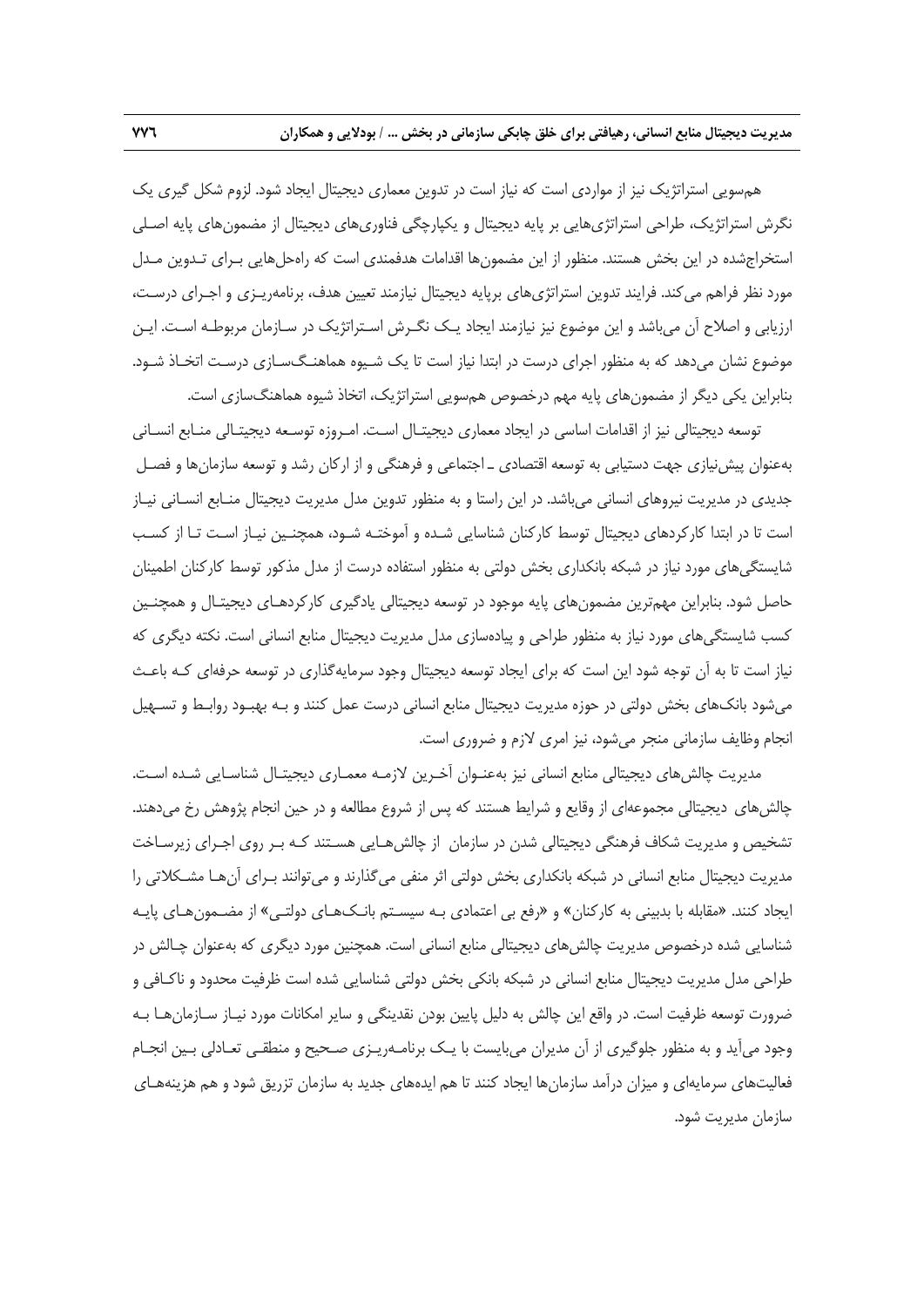همسويي استراتژيك نيز از مواردي است كه نياز است در تدوين معماري ديجيتال ايجاد شود. لزوم شكل گيري يك نگرش استراتژيك، طراحي استراتژيهايي بر پايه ديجيتال و يكپارچگي فناوريهاي ديجيتال از مضمونهاي پايه اصـلي استخراجشده در اين بخش هستند. منظور از اين مضمونها اقدامات هدفمندي است كه راهحلهايي بـراي تـدوين مـدل مورد نظر فراهم ميكند. فرايند تدوين استراتژيهاي برپايه ديجيتال نيازمند تعيين هدف، برنامهريـزي و اجـراي درسـت، ارزيابي و اصلاح آن ميباشد و اين موضوع نيز نيازمند ايجاد يـك نگـرش اسـتراتژيك در سـازمان مربوطـه اسـت. ايـن موضوع نشان ميدهد كه به منظور اجراي درست در ابتدا نياز است تا يك شـيوه هماهنـگسـازي درسـت اتخـاذ شـود. بنابراين يكي ديگر از مضمونهاي پايه مهم درخصوص همسويي استراتژيك، اتخاذ شيوه هماهنگسازي است.

توسعه ديجيتالي نيز از اقدامات اساسي در ايجاد معماري ديجيتـال اسـت. امـروزه توسـعه ديجيتـالي منـابع انسـاني بهعنوان پيشنيازي جهت دستيابي به توسعه اقتصادي ـ اجتماعي و فرهنگي و از اركان رشد و توسعه سازمانها و فصـل جديدي در مديريت نيروهاي انساني ميباشد. در اين راستا و به منظور تدوين مدل مديريت ديجيتال منـابع انسـاني نيـاز است تا در ابتدا كاركردهاي ديجيتال توسط كاركنان شناسايي شـده و آموختـه شـود، همچنـين نيـاز اسـت تـا از كسـب شايستگيهاي مورد نياز در شبكه بانكداري بخش دولتي به منظور استفاده درست از مدل مذكور توسط كاركنان اطمينان حاصل شود. بنابراين مهمترين مضمونهاي پايه موجود در توسعه ديجيتالي يادگيري كاركردهـاي ديجيتـال و همچنـين كسب شايستگيهاي مورد نياز به منظور طراحي و پيادهسازي مدل مديريت ديجيتال منابع انساني است. نكته ديگري كه نياز است تا به آن توجه شود اين است كه براي ايجاد توسعه ديجيتال وجود سرمايهگذاري در توسعه حرفهاي كـه باعـث ميشود بانكهاي بخش دولتي در حوزه مديريت ديجيتال منابع انساني درست عمل كنند و بـه بهبـود روابـط و تسـهيل انجام وظايف سازماني منجر ميشود، نيز امري لازم و ضروري است.

مديريت چالشهاي ديجيتالي منابع انساني نيز بهعنـوان آخـرين لازمـه معمـاري ديجيتـال شناسـايي شـده اسـت. چالشهاي ديجيتالي مجموعهاي از وقايع و شرايط هستند كه پس از شروع مطالعه و در حين انجام پژوهش رخ ميدهند. تشخيص و مديريت شكاف فرهنگي ديجيتالي شدن در سازمان از چالشهـايي هسـتند كـه بـر روي اجـراي زيرسـاخت مديريت ديجيتال منابع انساني در شبكه بانكداري بخش دولتي اثر منفي ميگذارند و ميتوانند بـراي آنهـا مشـكلاتي را ايجاد كنند. «مقابله با بدبيني به كاركنان» و «رفع بي اعتمادي بـه سيسـتم بانـكهـاي دولتـي» از مضـمونهـاي پايـه شناسايي شده درخصوص مديريت چالشهاي ديجيتالي منابع انساني است. همچنين مورد ديگري كه بهعنوان چـالش در طراحي مدل مديريت ديجيتال منابع انساني در شبكه بانكي بخش دولتي شناسايي شده است ظرفيت محدود و ناكـافي و ضرورت توسعه ظرفيت است. در واقع اين چالش به دليل پايين بودن نقدينگي و ساير امكانات مورد نيـاز سـازمانهـا بـه وجود ميآيد و به منظور جلوگيري از آن مديران ميبايست با يـك برنامـهريـزي صـحيح و منطقـي تعـادلي بـين انجـام فعاليتهاي سرمايهاي و ميزان درآمد سازمانها ايجاد كنند تا هم ايدههاي جديد به سازمان تزريق شود و هم هزينههـاي سازمان مديريت شود.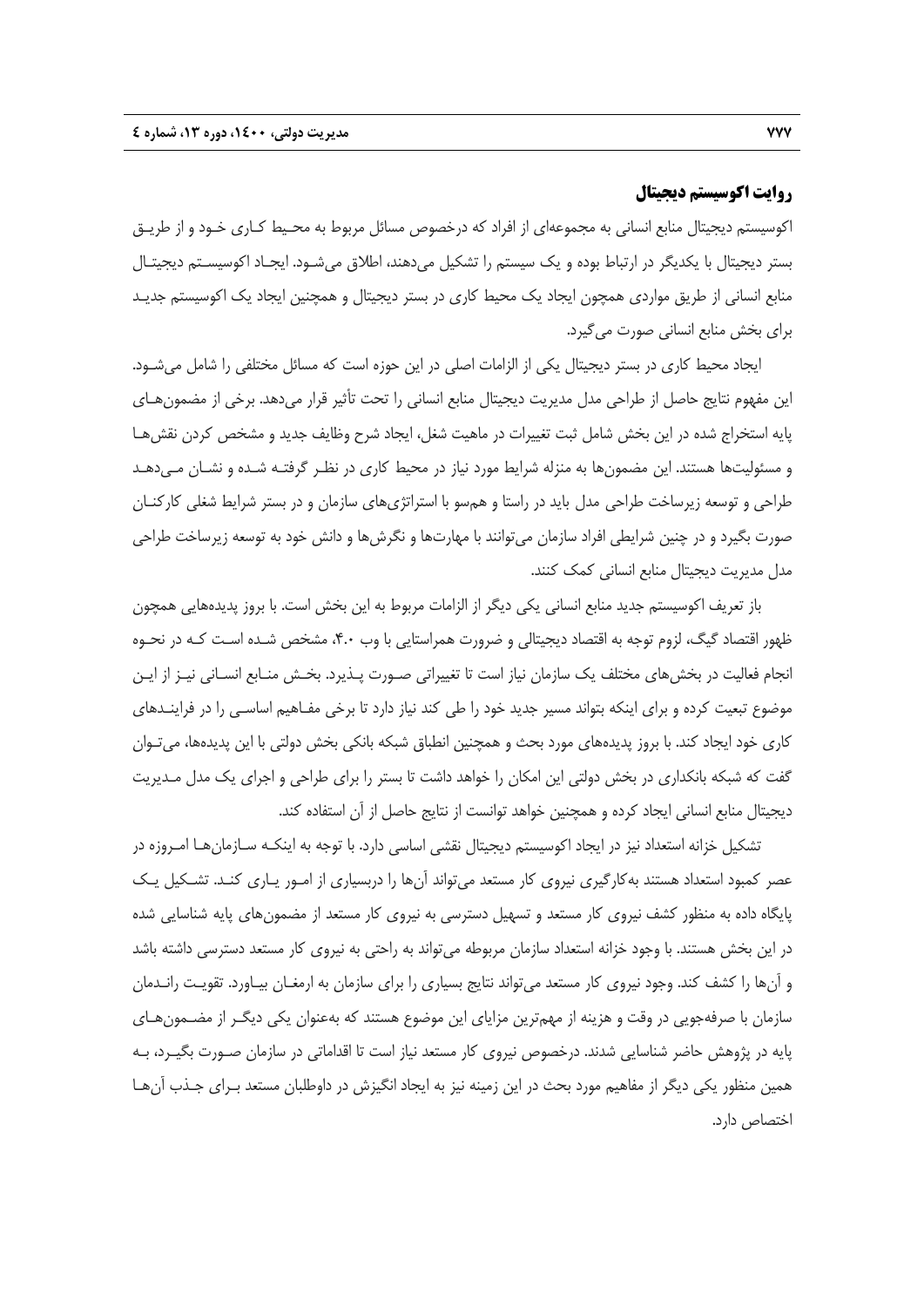### **روايت اكوسيستم ديجيتال**

اكوسيستم ديجيتال منابع انساني به مجموعهاي از افراد كه درخصوص مسائل مربوط به محـيط كـاري خـود و از طريـق بستر ديجيتال با يكديگر در ارتباط بوده و يك سيستم را تشكيل ميدهند، اطلاق ميشـود. ايجـاد اكوسيسـتم ديجيتـال منابع انساني از طريق مواردي همچون ايجاد يك محيط كاري در بستر ديجيتال و همچنين ايجاد يك اكوسيستم جديـد براي بخش منابع انساني صورت ميگيرد.

ايجاد محيط كاري در بستر ديجيتال يكي از الزامات اصلي در اين حوزه است كه مسائل مختلفي را شامل ميشـود. اين مفهوم نتايج حاصل از طراحي مدل مديريت ديجيتال منابع انساني را تحت تأثير قرار ميدهد. برخي از مضمونهـاي پايه استخراج شده در اين بخش شامل ثبت تغييرات در ماهيت شغل، ايجاد شرح وظايف جديد و مشخص كردن نقشهـا و مسئوليتها هستند. اين مضمونها به منزله شرايط مورد نياز در محيط كاري در نظـر گرفتـه شـده و نشـان مـيدهـد طراحي و توسعه زيرساخت طراحي مدل بايد در راستا و همسو با استراتژيهاي سازمان و در بستر شرايط شغلي كاركنـان صورت بگيرد و در چنين شرايطي افراد سازمان ميتوانند با مهارتها و نگرشها و دانش خود به توسعه زيرساخت طراحي مدل مديريت ديجيتال منابع انساني كمك كنند.

باز تعريف اكوسيستم جديد منابع انساني يكي ديگر از الزامات مربوط به اين بخش است. با بروز پديدههايي همچون ظهور اقتصاد گيگ، لزوم توجه به اقتصاد ديجيتالي و ضرورت همراستايي با وب ،4.0 مشخص شـده اسـت كـه در نحـوه انجام فعاليت در بخشهاي مختلف يك سازمان نياز است تا تغييراتي صـورت پـذيرد. بخـش منـابع انسـاني نيـز از ايـن موضوع تبعيت كرده و براي اينكه بتواند مسير جديد خود را طي كند نياز دارد تا برخي مفـاهيم اساسـي را در فراينـدهاي كاري خود ايجاد كند. با بروز پديدههاي مورد بحث و همچنين انطباق شبكه بانكي بخش دولتي با اين پديدهها، ميتـوان گفت كه شبكه بانكداري در بخش دولتي اين امكان را خواهد داشت تا بستر را براي طراحي و اجراي يك مدل مـديريت ديجيتال منابع انساني ايجاد كرده و همچنين خواهد توانست از نتايج حاصل از آن استفاده كند.

تشكيل خزانه استعداد نيز در ايجاد اكوسيستم ديجيتال نقشي اساسي دارد. با توجه به اينكـه سـازمانهـا امـروزه در عصر كمبود استعداد هستند بهكارگيري نيروي كار مستعد ميتواند آنها را دربسياري از امـور يـاري كنـد. تشـكيل يـك پايگاه داده به منظور كشف نيروي كار مستعد و تسهيل دسترسي به نيروي كار مستعد از مضمونهاي پايه شناسايي شده در اين بخش هستند. با وجود خزانه استعداد سازمان مربوطه ميتواند به راحتي به نيروي كار مستعد دسترسي داشته باشد و آنها را كشف كند. وجود نيروي كار مستعد ميتواند نتايج بسياري را براي سازمان به ارمغـان بيـاورد. تقويـت رانـدمان سازمان با صرفهجويي در وقت و هزينه از مهمترين مزاياي اين موضوع هستند كه بهعنوان يكي ديگـر از مضـمونهـاي پايه در پژوهش حاضر شناسايي شدند. درخصوص نيروي كار مستعد نياز است تا اقداماتي در سازمان صـورت بگيـرد، بـه همين منظور يكي ديگر از مفاهيم مورد بحث در اين زمينه نيز به ايجاد انگيزش در داوطلبان مستعد بـراي جـذب آنهـا اختصاص دارد.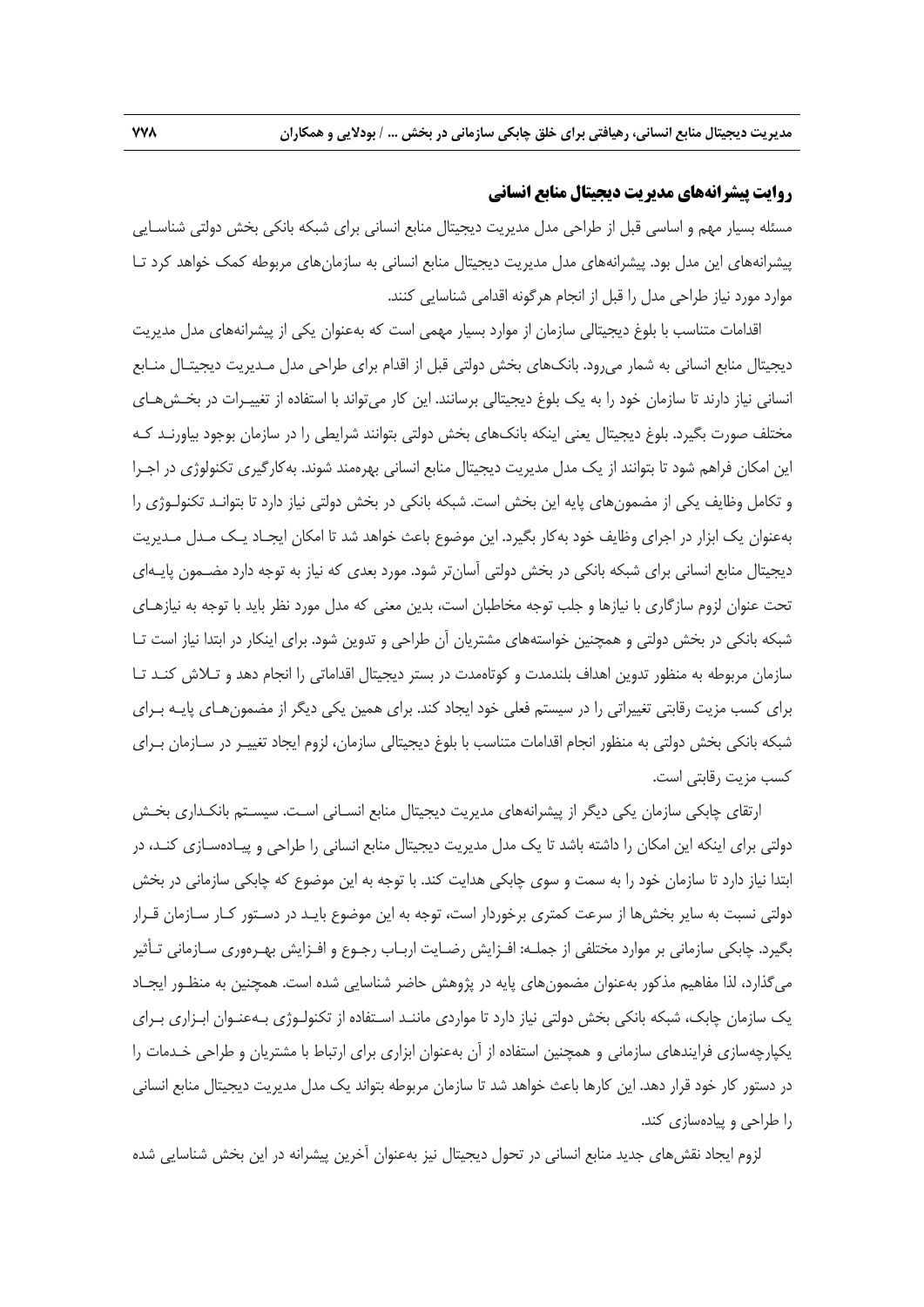### **روايت پيشرانههاي مديريت ديجيتال منابع انساني**

مسئله بسيار مهم و اساسي قبل از طراحي مدل مديريت ديجيتال منابع انساني براي شبكه بانكي بخش دولتي شناسـايي پيشرانههاي اين مدل بود. پيشرانههاي مدل مديريت ديجيتال منابع انساني به سازمانهاي مربوطه كمك خواهد كرد تـا موارد مورد نياز طراحي مدل را قبل از انجام هرگونه اقدامي شناسايي كنند.

اقدامات متناسب با بلوغ ديجيتالي سازمان از موارد بسيار مهمي است كه بهعنوان يكي از پيشرانههاي مدل مديريت ديجيتال منابع انساني به شمار ميرود. بانكهاي بخش دولتي قبل از اقدام براي طراحي مدل مـديريت ديجيتـال منـابع انساني نياز دارند تا سازمان خود را به يك بلوغ ديجيتالي برسانند. اين كار ميتواند با استفاده از تغييـرات در بخـشهـاي مختلف صورت بگيرد. بلوغ ديجيتال يعني اينكه بانكهاي بخش دولتي بتوانند شرايطي را در سازمان بوجود بياورنـد كـه اين امكان فراهم شود تا بتوانند از يك مدل مديريت ديجيتال منابع انساني بهرهمند شوند. بهكارگيري تكنولوژي در اجـرا و تكامل وظايف يكي از مضمونهاي پايه اين بخش است. شبكه بانكي در بخش دولتي نياز دارد تا بتوانـد تكنولـوژي را بهعنوان يك ابزار در اجراي وظايف خود بهكار بگيرد. اين موضوع باعث خواهد شد تا امكان ايجـاد يـك مـدل مـديريت ديجيتال منابع انساني براي شبكه بانكي در بخش دولتي آسانتر شود. مورد بعدي كه نياز به توجه دارد مضـمون پايـهاي تحت عنوان لزوم سازگاري با نيازها و جلب توجه مخاطبان است، بدين معني كه مدل مورد نظر بايد با توجه به نيازهـاي شبكه بانكي در بخش دولتي و همچنين خواستههاي مشتريان آن طراحي و تدوين شود. براي اينكار در ابتدا نياز است تـا سازمان مربوطه به منظور تدوين اهداف بلندمدت و كوتاهمدت در بستر ديجيتال اقداماتي را انجام دهد و تـلاش كنـد تـا براي كسب مزيت رقابتي تغييراتي را در سيستم فعلي خود ايجاد كند. براي همين يكي ديگر از مضمونهـاي پايـه بـراي شبكه بانكي بخش دولتي به منظور انجام اقدامات متناسب با بلوغ ديجيتالي سازمان، لزوم ايجاد تغييـر در سـازمان بـراي كسب مزيت رقابتي است.

ارتقاي چابكي سازمان يكي ديگر از پيشرانههاي مديريت ديجيتال منابع انسـاني اسـت. سيسـتم بانكـداري بخـش دولتي براي اينكه اين امكان را داشته باشد تا يك مدل مديريت ديجيتال منابع انساني را طراحي و پيـادهسـازي كنـد، در ابتدا نياز دارد تا سازمان خود را به سمت و سوي چابكي هدايت كند. با توجه به اين موضوع كه چابكي سازماني در بخش دولتي نسبت به ساير بخشها از سرعت كمتري برخوردار است، توجه به اين موضوع بايـد در دسـتور كـار سـازمان قـرار بگيرد. چابكي سازماني بر موارد مختلفي از جملـه: افـزايش رضـايت اربـاب رجـوع و افـزايش بهـرهوري سـازماني تـأثير ميگذارد، لذا مفاهيم مذكور بهعنوان مضمونهاي پايه در پژوهش حاضر شناسايي شده است. همچنين به منظـور ايجـاد يك سازمان چابك، شبكه بانكي بخش دولتي نياز دارد تا مواردي ماننـد اسـتفاده از تكنولـوژي بـهعنـوان ابـزاري بـراي يكپارچهسازي فرايندهاي سازماني و همچنين استفاده از آن بهعنوان ابزاري براي ارتباط با مشتريان و طراحي خـدمات را در دستور كار خود قرار دهد. اين كارها باعث خواهد شد تا سازمان مربوطه بتواند يك مدل مديريت ديجيتال منابع انساني را طراحي و پيادهسازي كند.

لزوم ايجاد نقشهاي جديد منابع انساني در تحول ديجيتال نيز بهعنوان آخرين پيشرانه در اين بخش شناسايي شده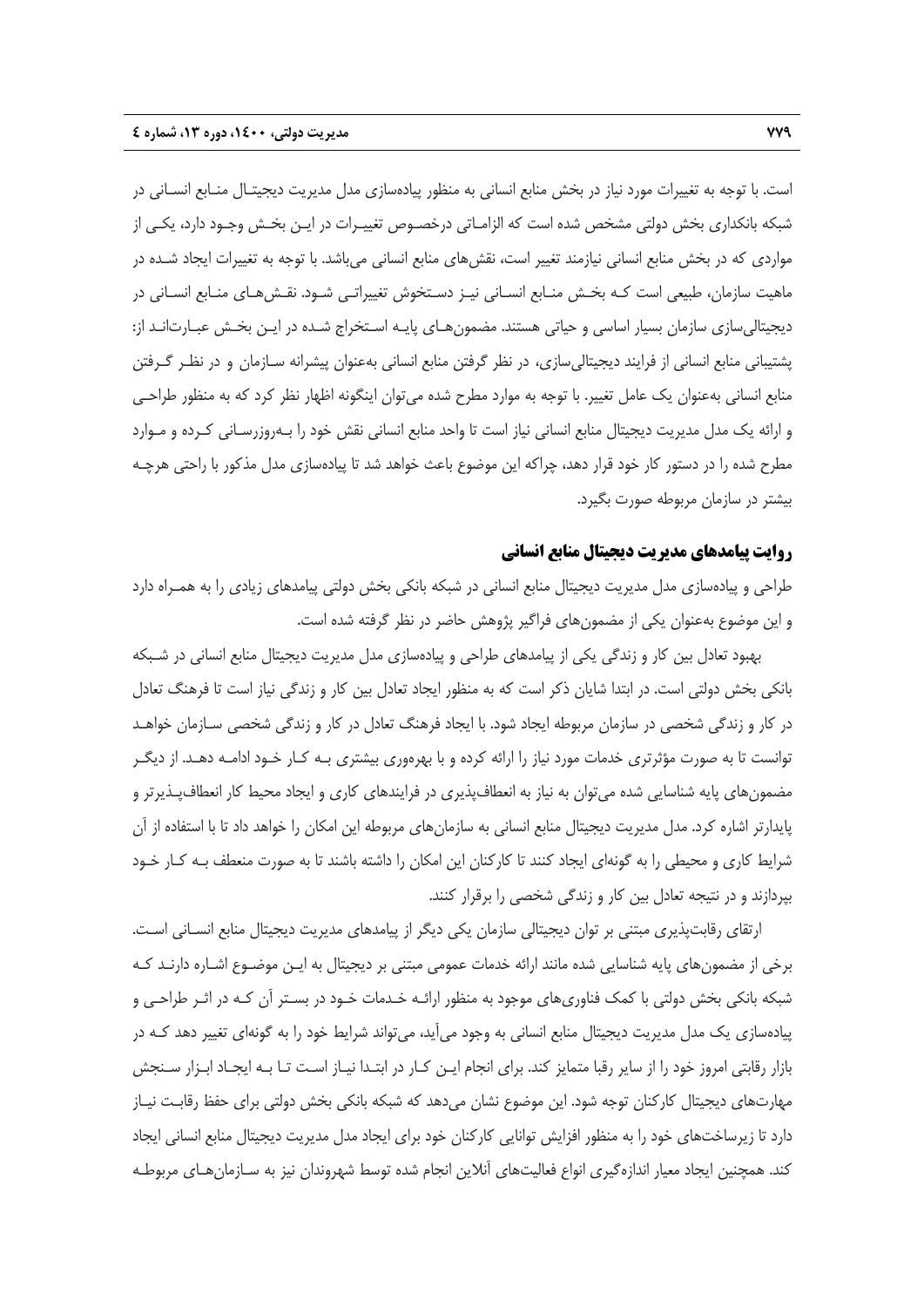است. با توجه به تغييرات مورد نياز در بخش منابع انساني به منظور پيادهسازي مدل مديريت ديجيتـال منـابع انسـاني در شبكه بانكداري بخش دولتي مشخص شده است كه الزامـاتي درخصـوص تغييـرات در ايـن بخـش وجـود دارد، يكـي از مواردي كه در بخش منابع انساني نيازمند تغيير است، نقشهاي منابع انساني ميباشد. با توجه به تغييرات ايجاد شـده در ماهيت سازمان، طبيعي است كـه بخـش منـابع انسـاني نيـز دسـتخوش تغييراتـي شـود. نقـشهـاي منـابع انسـاني در ديجيتاليسازي سازمان بسيار اساسي و حياتي هستند. مضمونهـاي پايـه اسـتخراج شـده در ايـن بخـش عبـارتانـد از: پشتيباني منابع انساني از فرايند ديجيتاليسازي، در نظر گرفتن منابع انساني بهعنوان پيشرانه سـازمان و در نظـر گـرفتن منابع انساني بهعنوان يك عامل تغيير. با توجه به موارد مطرح شده ميتوان اينگونه اظهار نظر كرد كه به منظور طراحـي و ارائه يك مدل مديريت ديجيتال منابع انساني نياز است تا واحد منابع انساني نقش خود را بـهروزرسـاني كـرده و مـوارد مطرح شده را در دستور كار خود قرار دهد، چراكه اين موضوع باعث خواهد شد تا پيادهسازي مدل مذكور با راحتي هرچـه بيشتر در سازمان مربوطه صورت بگيرد.

### **روايت پيامدهاي مديريت ديجيتال منابع انساني**

طراحي و پيادهسازي مدل مديريت ديجيتال منابع انساني در شبكه بانكي بخش دولتي پيامدهاي زيادي را به همـراه دارد و اين موضوع بهعنوان يكي از مضمونهاي فراگير پژوهش حاضر در نظر گرفته شده است.

بهبود تعادل بين كار و زندگي يكي از پيامدهاي طراحي و پيادهسازي مدل مديريت ديجيتال منابع انساني در شـبكه بانكي بخش دولتي است. در ابتدا شايان ذكر است كه به منظور ايجاد تعادل بين كار و زندگي نياز است تا فرهنگ تعادل در كار و زندگي شخصي در سازمان مربوطه ايجاد شود. با ايجاد فرهنگ تعادل در كار و زندگي شخصي سـازمان خواهـد توانست تا به صورت مؤثرتري خدمات مورد نياز را ارائه كرده و با بهرهوري بيشتري بـه كـار خـود ادامـه دهـد. از ديگـر مضمونهاي پايه شناسايي شده ميتوان به نياز به انعطافپذيري در فرايندهاي كاري و ايجاد محيط كار انعطافپـذيرتر و پايدارتر اشاره كرد. مدل مديريت ديجيتال منابع انساني به سازمانهاي مربوطه اين امكان را خواهد داد تا با استفاده از آن شرايط كاري و محيطي را به گونهاي ايجاد كنند تا كاركنان اين امكان را داشته باشند تا به صورت منعطف بـه كـار خـود بپردازند و در نتيجه تعادل بين كار و زندگي شخصي را برقرار كنند.

ارتقاي رقابتپذيري مبتني بر توان ديجيتالي سازمان يكي ديگر از پيامدهاي مديريت ديجيتال منابع انسـاني اسـت. برخي از مضمونهاي پايه شناسايي شده مانند ارائه خدمات عمومي مبتني بر ديجيتال به ايـن موضـوع اشـاره دارنـد كـه شبكه بانكي بخش دولتي با كمك فناوريهاي موجود به منظور ارائـه خـدمات خـود در بسـتر آن كـه در اثـر طراحـي و پيادهسازي يك مدل مديريت ديجيتال منابع انساني به وجود ميآيد، ميتواند شرايط خود را به گونهاي تغيير دهد كـه در بازار رقابتي امروز خود را از ساير رقبا متمايز كند. براي انجام ايـن كـار در ابتـدا نيـاز اسـت تـا بـه ايجـاد ابـزار سـنجش مهارتهاي ديجيتال كاركنان توجه شود. اين موضوع نشان ميدهد كه شبكه بانكي بخش دولتي براي حفظ رقابـت نيـاز دارد تا زيرساختهاي خود را به منظور افزايش توانايي كاركنان خود براي ايجاد مدل مديريت ديجيتال منابع انساني ايجاد كند. همچنين ايجاد معيار اندازهگيري انواع فعاليتهاي آنلاين انجام شده توسط شهروندان نيز به سـازمانهـاي مربوطـه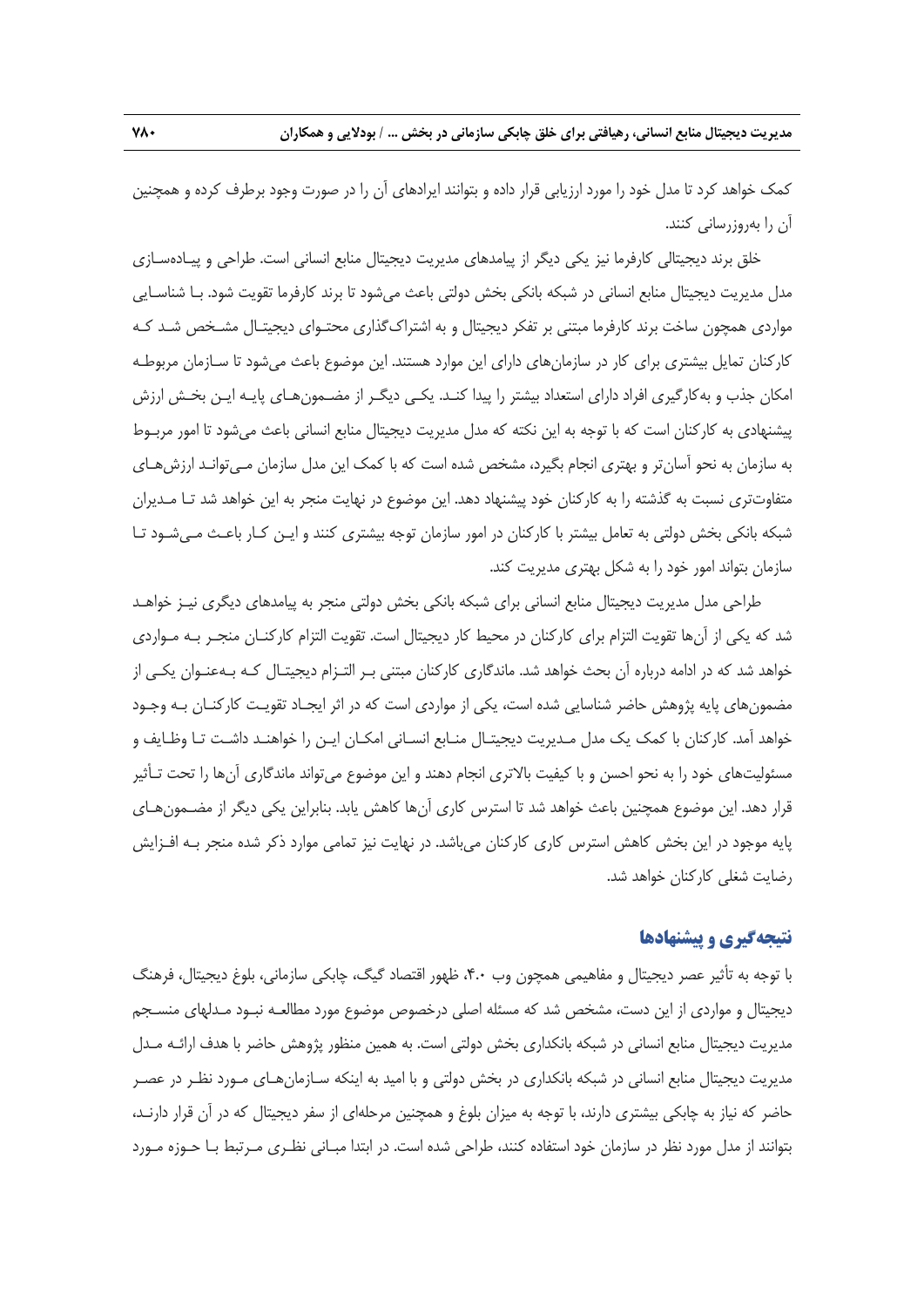كمك خواهد كرد تا مدل خود را مورد ارزيابي قرار داده و بتوانند ايرادهاي آن را در صورت وجود برطرف كرده و همچنين آن را بهروزرساني كنند.

خلق برند ديجيتالي كارفرما نيز يكي ديگر از پيامدهاي مديريت ديجيتال منابع انساني است. طراحي و پيـادهسـازي مدل مديريت ديجيتال منابع انساني در شبكه بانكي بخش دولتي باعث ميشود تا برند كارفرما تقويت شود. بـا شناسـايي مواردي همچون ساخت برند كارفرما مبتني بر تفكر ديجيتال و به اشتراكگذاري محتـواي ديجيتـال مشـخص شـد كـه كاركنان تمايل بيشتري براي كار در سازمانهاي داراي اين موارد هستند. اين موضوع باعث ميشود تا سـازمان مربوطـه امكان جذب و بهكارگيري افراد داراي استعداد بيشتر را پيدا كنـد. يكـي ديگـر از مضـمونهـاي پايـه ايـن بخـش ارزش پيشنهادي به كاركنان است كه با توجه به اين نكته كه مدل مديريت ديجيتال منابع انساني باعث ميشود تا امور مربـوط به سازمان به نحو آسانتر و بهتري انجام بگيرد، مشخص شده است كه با كمك اين مدل سازمان مـيتوانـد ارزشهـاي متفاوتتري نسبت به گذشته را به كاركنان خود پيشنهاد دهد. اين موضوع در نهايت منجر به اين خواهد شد تـا مـديران شبكه بانكي بخش دولتي به تعامل بيشتر با كاركنان در امور سازمان توجه بيشتري كنند و ايـن كـار باعـث مـيشـود تـا سازمان بتواند امور خود را به شكل بهتري مديريت كند.

طراحي مدل مديريت ديجيتال منابع انساني براي شبكه بانكي بخش دولتي منجر به پيامدهاي ديگري نيـز خواهـد شد كه يكي از آنها تقويت التزام براي كاركنان در محيط كار ديجيتال است. تقويت التزام كاركنـان منجـر بـه مـواردي خواهد شد كه در ادامه درباره آن بحث خواهد شد. ماندگاري كاركنان مبتني بـر التـزام ديجيتـال كـه بـهعنـوان يكـي از مضمونهاي پايه پژوهش حاضر شناسايي شده است، يكي از مواردي است كه در اثر ايجـاد تقويـت كاركنـان بـه وجـود خواهد آمد. كاركنان با كمك يك مدل مـديريت ديجيتـال منـابع انسـاني امكـان ايـن را خواهنـد داشـت تـا وظـايف و مسئوليتهاي خود را به نحو احسن و با كيفيت بالاتري انجام دهند و اين موضوع ميتواند ماندگاري آنها را تحت تـأثير قرار دهد. اين موضوع همچنين باعث خواهد شد تا استرس كاري آنها كاهش يابد. بنابراين يكي ديگر از مضـمونهـاي پايه موجود در اين بخش كاهش استرس كاري كاركنان ميباشد. در نهايت نيز تمامي موارد ذكر شده منجر بـه افـزايش رضايت شغلي كاركنان خواهد شد.

### **نتيجهگيري و پيشنهادها**

با توجه به تأثير عصر ديجيتال و مفاهيمي همچون وب ،4.0 ظهور اقتصاد گيگ، چابكي سازماني، بلوغ ديجيتال، فرهنگ ديجيتال و مواردي از اين دست، مشخص شد كه مسئله اصلي درخصوص موضوع مورد مطالعـه نبـود مـدلهاي منسـجم مديريت ديجيتال منابع انساني در شبكه بانكداري بخش دولتي است. به همين منظور پژوهش حاضر با هدف ارائـه مـدل مديريت ديجيتال منابع انساني در شبكه بانكداري در بخش دولتي و با اميد به اينكه سـازمانهـاي مـورد نظـر در عصـر حاضر كه نياز به چابكي بيشتري دارند، با توجه به ميزان بلوغ و همچنين مرحلهاي از سفر ديجيتال كه در آن قرار دارنـد، بتوانند از مدل مورد نظر در سازمان خود استفاده كنند، طراحي شده است. در ابتدا مبـاني نظـري مـرتبط بـا حـوزه مـورد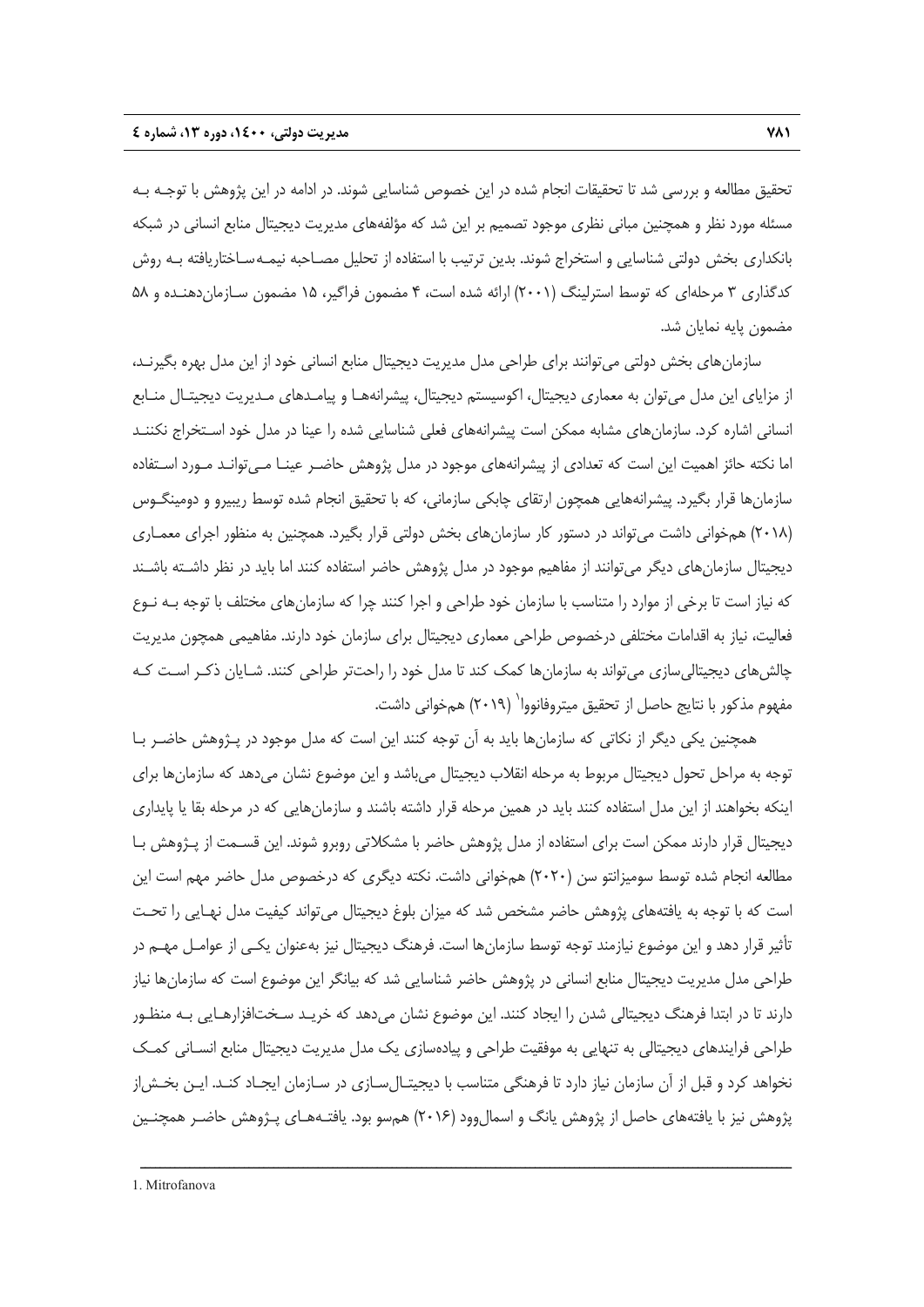تحقيق مطالعه و بررسي شد تا تحقيقات انجام شده در اين خصوص شناسايي شوند. در ادامه در اين پژوهش با توجـه بـه مسئله مورد نظر و همچنين مباني نظري موجود تصميم بر اين شد كه مؤلفههاي مديريت ديجيتال منابع انساني در شبكه بانكداري بخش دولتي شناسايي و استخراج شوند. بدين ترتيب با استفاده از تحليل مصـاحبه نيمـهسـاختاريافته بـه روش كدگذاري 3 مرحلهاي كه توسط استرلينگ (2001) ارائه شده است، 4 مضمون فراگير، 15 مضمون سـازماندهنـده و 58 مضمون پايه نمايان شد.

سازمانهاي بخش دولتي ميتوانند براي طراحي مدل مديريت ديجيتال منابع انساني خود از اين مدل بهره بگيرنـد، از مزاياي اين مدل ميتوان به معماري ديجيتال، اكوسيستم ديجيتال، پيشرانههـا و پيامـدهاي مـديريت ديجيتـال منـابع انساني اشاره كرد. سازمانهاي مشابه ممكن است پيشرانههاي فعلي شناسايي شده را عينا در مدل خود اسـتخراج نكننـد اما نكته حائز اهميت اين است كه تعدادي از پيشرانههاي موجود در مدل پژوهش حاضـر عينـا مـيتوانـد مـورد اسـتفاده سازمانها قرار بگيرد. پيشرانههايي همچون ارتقاي چابكي سازماني، كه با تحقيق انجام شده توسط ريبيرو و دومينگـوس (2018) همخواني داشت ميتواند در دستور كار سازمانهاي بخش دولتي قرار بگيرد. همچنين به منظور اجراي معمـاري ديجيتال سازمانهاي ديگر ميتوانند از مفاهيم موجود در مدل پژوهش حاضر استفاده كنند اما بايد در نظر داشـته باشـند كه نياز است تا برخي از موارد را متناسب با سازمان خود طراحي و اجرا كنند چرا كه سازمانهاي مختلف با توجه بـه نـوع فعاليت، نياز به اقدامات مختلفي درخصوص طراحي معماري ديجيتال براي سازمان خود دارند. مفاهيمي همچون مديريت چالشهاي ديجيتاليسازي ميتواند به سازمانها كمك كند تا مدل خود را راحتتر طراحي كنند. شـايان ذكـر اسـت كـه مفهوم مذكور با نتايج حاصل از تحقيق ميتروفانووا` (٢٠١٩) همخواني داشت.

همچنين يكي ديگر از نكاتي كه سازمانها بايد به آن توجه كنند اين است كه مدل موجود در پـژوهش حاضـر بـا توجه به مراحل تحول ديجيتال مربوط به مرحله انقلاب ديجيتال ميباشد و اين موضوع نشان ميدهد كه سازمانها براي اينكه بخواهند از اين مدل استفاده كنند بايد در همين مرحله قرار داشته باشند و سازمانهايي كه در مرحله بقا يا پايداري ديجيتال قرار دارند ممكن است براي استفاده از مدل پژوهش حاضر با مشكلاتي روبرو شوند. اين قسـمت از پـژوهش بـا مطالعه انجام شده توسط سوميزانتو سن (2020) همخواني داشت. نكته ديگري كه درخصوص مدل حاضر مهم است اين است كه با توجه به يافتههاي پژوهش حاضر مشخص شد كه ميزان بلوغ ديجيتال ميتواند كيفيت مدل نهـايي را تحـت تأثير قرار دهد و اين موضوع نيازمند توجه توسط سازمانها است. فرهنگ ديجيتال نيز بهعنوان يكـي از عوامـل مهـم در طراحي مدل مديريت ديجيتال منابع انساني در پژوهش حاضر شناسايي شد كه بيانگر اين موضوع است كه سازمانها نياز دارند تا در ابتدا فرهنگ ديجيتالي شدن را ايجاد كنند. اين موضوع نشان ميدهد كه خريـد سـختافزارهـايي بـه منظـور طراحي فرايندهاي ديجيتالي به تنهايي به موفقيت طراحي و پيادهسازي يك مدل مديريت ديجيتال منابع انسـاني كمـك نخواهد كرد و قبل از آن سازمان نياز دارد تا فرهنگي متناسب با ديجيتـالسـازي در سـازمان ايجـاد كنـد. ايـن بخـشاز پژوهش نيز با يافتههاي حاصل از پژوهش يانگ و اسمالوود (2016) همسو بود. يافتـههـاي پـژوهش حاضـر همچنـين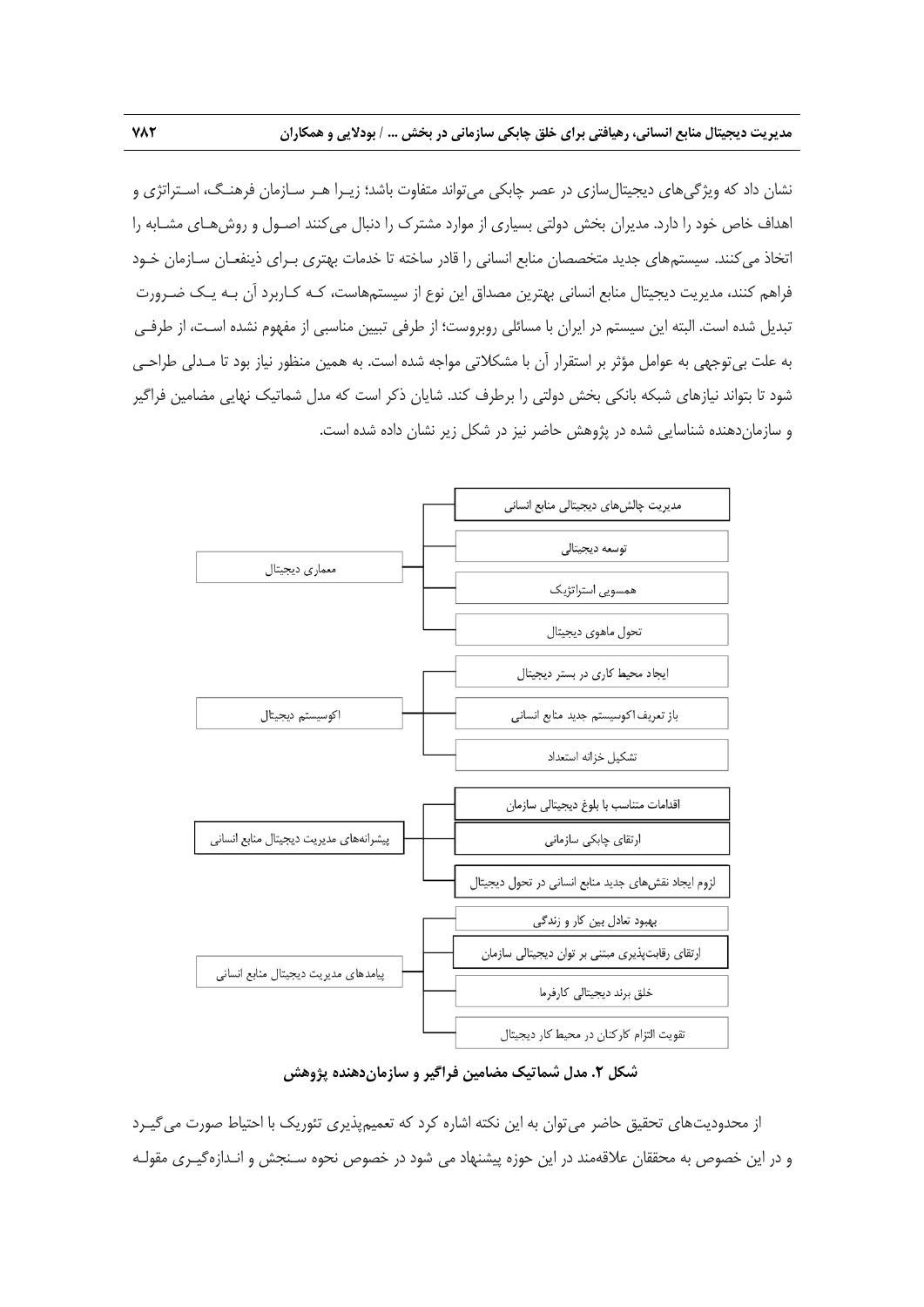نشان داد كه ويژگيهاي ديجيتالسازي در عصر چابكي ميتواند متفاوت باشد؛ زيـرا هـر سـازمان فرهنـگ، اسـتراتژي و اهداف خاص خود را دارد. مديران بخش دولتي بسياري از موارد مشترك را دنبال ميكنند اصـول و روشهـاي مشـابه را اتخاذ ميكنند. سيستمهاي جديد متخصصان منابع انساني را قادر ساخته تا خدمات بهتري بـراي ذينفعـان سـازمان خـود فراهم كنند، مديريت ديجيتال منابع انساني بهترين مصداق اين نوع از سيستمهاست، كـه كـاربرد آن بـه يـك ضـرورت تبديل شده است. البته اين سيستم در ايران با مسائلي روبروست؛ از طرفي تبيين مناسبي از مفهوم نشده اسـت، از طرفـي به علت بيتوجهي به عوامل مؤثر بر استقرار آن با مشكلاتي مواجه شده است. به همين منظور نياز بود تا مـدلي طراحـي شود تا بتواند نيازهاي شبكه بانكي بخش دولتي را برطرف كند. شايان ذكر است كه مدل شماتيك نهايي مضامين فراگير و سازماندهنده شناسايي شده در پژوهش حاضر نيز در شكل زير نشان داده شده است.



### **شكل .2 مدل شماتيك مضامين فراگير و سازماندهنده پژوهش**

از محدوديتهاي تحقيق حاضر مي توان به اين نكته اشاره كرد كه تعميمپذيري تئوريك با احتياط صورت مي گيـرد و در اين خصوص به محققان علاقهمند در اين حوزه پيشنهاد مي شود در خصوص نحوه سـنجش و انـدازهگيـري مقولـه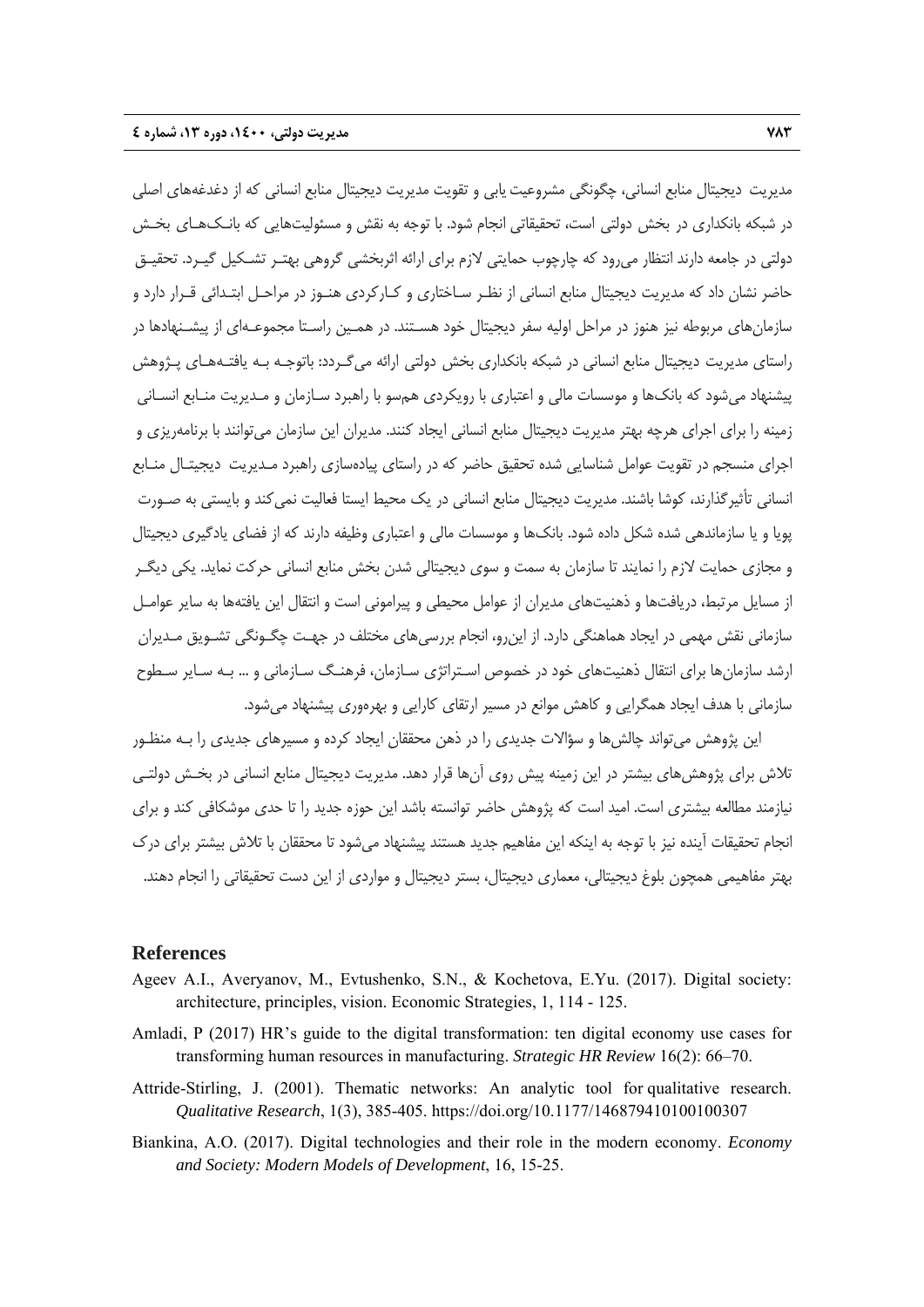مديريت ديجيتال منابع انساني، چگونگي مشروعيتيابي و تقويت مديريت ديجيتال منابع انساني كه از دغدغههاي اصلي در شبكه بانكداري در بخش دولتي است، تحقيقاتي انجام شود. با توجه به نقش و مسئوليتهايي كه بانـكهـاي بخـش دولتي در جامعه دارند انتظار ميرود كه چارچوب حمايتي لازم براي ارائه اثربخشي گروهي بهتـر تشـكيل گيـرد. تحقيـق حاضر نشان داد كه مديريت ديجيتال منابع انساني از نظـر سـاختاري و كـاركردي هنـوز در مراحـل ابتـدائي قـرار دارد و سازمانهاي مربوطه نيز هنوز در مراحل اوليه سفر ديجيتال خود هسـتند. در همـين راسـتا مجموعـهاي از پيشـنهادها در راستاي مديريت ديجيتال منابع انساني در شبكه بانكداري بخش دولتي ارائه ميگـردد: باتوجـه بـه يافتـههـاي پـژوهش پيشنهاد ميشود كه بانكها و موسسات مالي و اعتباري با رويكردي همسو با راهبرد سـازمان و مـديريت منـابع انسـاني زمينه را براي اجراي هرچه بهتر مديريت ديجيتال منابع انساني ايجاد كنند. مديران اين سازمان ميتوانند با برنامهريزي و اجراي منسجم در تقويت عوامل شناسايي شده تحقيق حاضر كه در راستاي پيادهسازي راهبرد مـديريت ديجيتـال منـابع انساني تأثيرگذارند، كوشا باشند. مديريت ديجيتال منابع انساني در يك محيط ايستا فعاليت نميكند و بايستي به صـورت پويا و يا سازماندهي شده شكل داده شود. بانكها و موسسات مالي و اعتباري وظيفه دارند كه از فضاي يادگيري ديجيتال و مجازي حمايت لازم را نمايند تا سازمان به سمت و سوي ديجيتالي شدن بخش منابع انساني حركت نمايد. يكي ديگـر از مسايل مرتبط، دريافتها و ذهنيتهاي مديران از عوامل محيطي و پيراموني است و انتقال اين يافتهها به ساير عوامـل سازماني نقش مهمي در ايجاد هماهنگي دارد. از اينرو، انجام بررسيهاي مختلف در جهـت چگـونگي تشـويق مـديران ارشد سازمانها براي انتقال ذهنيتهاي خود در خصوص اسـتراتژي سـازمان، فرهنـگ سـازماني و ... بـه سـاير سـطوح سازماني با هدف ايجاد همگرايي و كاهش موانع در مسير ارتقاي كارايي و بهرهوري پيشنهاد ميشود.

اين پژوهش ميتواند چالشها و سؤالات جديدي را در ذهن محققان ايجاد كرده و مسيرهاي جديدي را بـه منظـور تلاش براي پژوهشهاي بيشتر در اين زمينه پيش روي آنها قرار دهد. مديريت ديجيتال منابع انساني در بخـش دولتـي نيازمند مطالعه بيشتري است. اميد است كه پژوهش حاضر توانسته باشد اين حوزه جديد را تا حدي موشكافي كند و براي انجام تحقيقات آينده نيز با توجه به اينكه اين مفاهيم جديد هستند پيشنهاد ميشود تا محققان با تلاش بيشتر براي درك بهتر مفاهيمي همچون بلوغ ديجيتالي، معماري ديجيتال، بستر ديجيتال و مواردي از اين دست تحقيقاتي را انجام دهند.

#### **References**

- Ageev A.I., Averyanov, M., Evtushenko, S.N., & Kochetova, E.Yu. (2017). Digital society: architecture, principles, vision. Economic Strategies, 1, 114 - 125.
- Amladi, P (2017) HR's guide to the digital transformation: ten digital economy use cases for transforming human resources in manufacturing. *Strategic HR Review* 16(2): 66–70.
- Attride-Stirling, J. (2001). Thematic networks: An analytic tool for qualitative research. *Qualitative Research*, 1(3), 385-405. https://doi.org/10.1177/146879410100100307
- Biankina, A.O. (2017). Digital technologies and their role in the modern economy. *Economy and Society: Modern Models of Development*, 16, 15-25.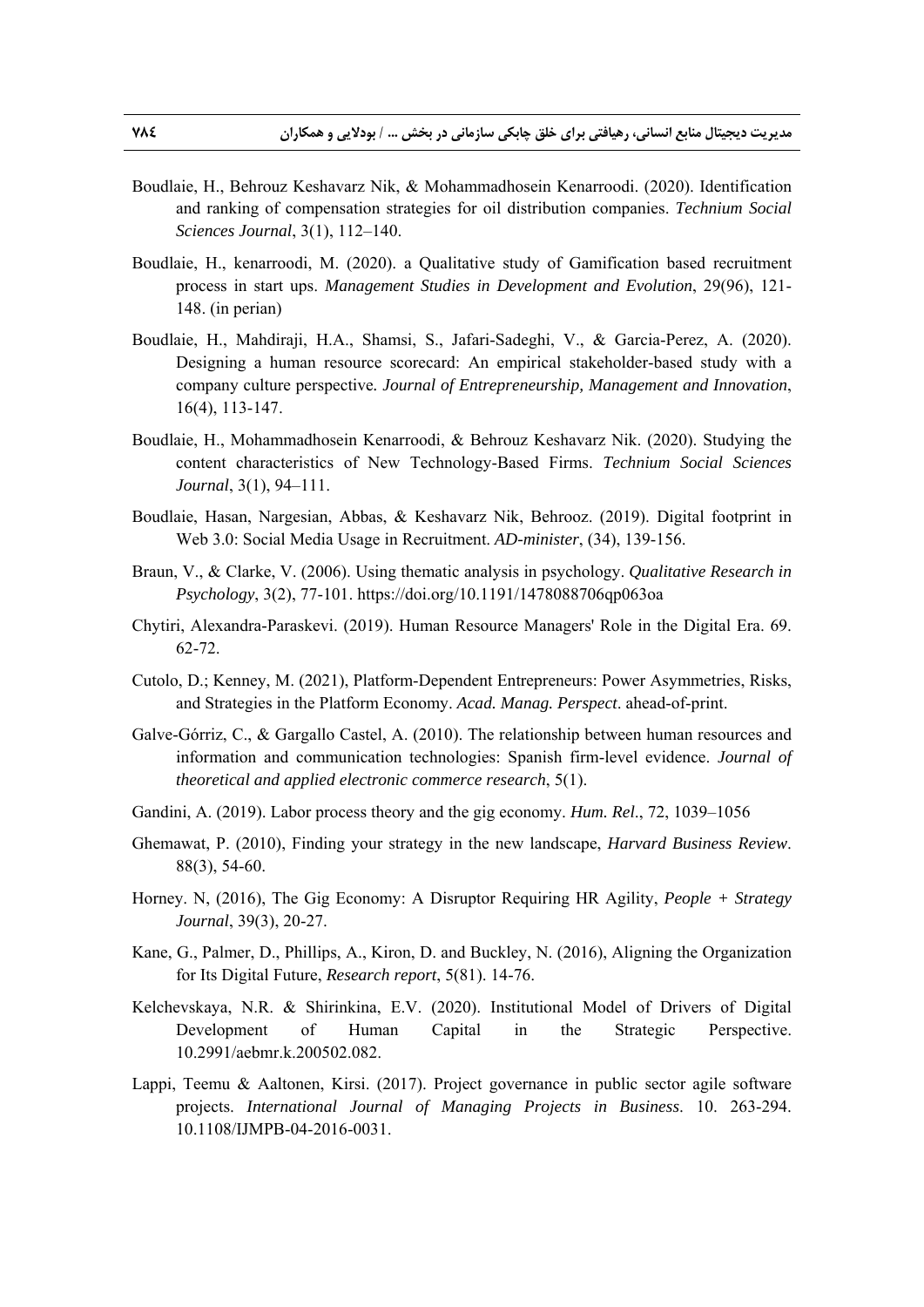- Boudlaie, H., Behrouz Keshavarz Nik, & Mohammadhosein Kenarroodi. (2020). Identification and ranking of compensation strategies for oil distribution companies. *Technium Social Sciences Journal*, 3(1), 112–140.
- Boudlaie, H., kenarroodi, M. (2020). a Qualitative study of Gamification based recruitment process in start ups. *Management Studies in Development and Evolution*, 29(96), 121- 148. (in perian)
- Boudlaie, H., Mahdiraji, H.A., Shamsi, S., Jafari-Sadeghi, V., & Garcia-Perez, A. (2020). Designing a human resource scorecard: An empirical stakeholder-based study with a company culture perspective*. Journal of Entrepreneurship, Management and Innovation*, 16(4), 113-147.
- Boudlaie, H., Mohammadhosein Kenarroodi, & Behrouz Keshavarz Nik. (2020). Studying the content characteristics of New Technology-Based Firms. *Technium Social Sciences Journal*, 3(1), 94–111.
- Boudlaie, Hasan, Nargesian, Abbas, & Keshavarz Nik, Behrooz. (2019). Digital footprint in Web 3.0: Social Media Usage in Recruitment. *AD-minister*, (34), 139-156.
- Braun, V., & Clarke, V. (2006). Using thematic analysis in psychology. *Qualitative Research in Psychology*, 3(2), 77-101. https://doi.org/10.1191/1478088706qp063oa
- Chytiri, Alexandra-Paraskevi. (2019). Human Resource Managers' Role in the Digital Era. 69. 62-72.
- Cutolo, D.; Kenney, M. (2021), Platform-Dependent Entrepreneurs: Power Asymmetries, Risks, and Strategies in the Platform Economy. *Acad. Manag. Perspect*. ahead-of-print.
- Galve-Górriz, C., & Gargallo Castel, A. (2010). The relationship between human resources and information and communication technologies: Spanish firm-level evidence. *Journal of theoretical and applied electronic commerce research*, 5(1).
- Gandini, A. (2019). Labor process theory and the gig economy. *Hum. Rel*., 72, 1039–1056
- Ghemawat, P. (2010), Finding your strategy in the new landscape, *Harvard Business Review*. 88(3), 54-60.
- Horney. N, (2016), The Gig Economy: A Disruptor Requiring HR Agility, *People + Strategy Journal*, 39(3), 20-27.
- Kane, G., Palmer, D., Phillips, A., Kiron, D. and Buckley, N. (2016), Aligning the Organization for Its Digital Future, *Research report*, 5(81). 14-76.
- Kelchevskaya, N.R. & Shirinkina, E.V. (2020). Institutional Model of Drivers of Digital Development of Human Capital in the Strategic Perspective. 10.2991/aebmr.k.200502.082.
- Lappi, Teemu & Aaltonen, Kirsi. (2017). Project governance in public sector agile software projects. *International Journal of Managing Projects in Business*. 10. 263-294. 10.1108/IJMPB-04-2016-0031.